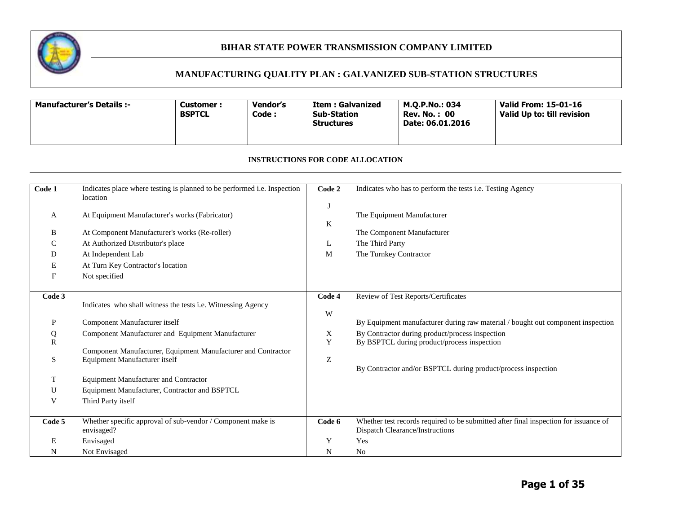

# **MANUFACTURING QUALITY PLAN : GALVANIZED SUB-STATION STRUCTURES**

| <b>Manufacturer's Details :-</b> | Customer :<br><b>BSPTCL</b> | Vendor's<br>Code : | <b>Item: Galvanized</b><br><b>Sub-Station</b><br><b>Structures</b> | M.O.P.No.: 034<br>Rev. No. : 00<br>Date: 06.01.2016 | Valid From: 15-01-16<br>Valid Up to: till revision |
|----------------------------------|-----------------------------|--------------------|--------------------------------------------------------------------|-----------------------------------------------------|----------------------------------------------------|
|----------------------------------|-----------------------------|--------------------|--------------------------------------------------------------------|-----------------------------------------------------|----------------------------------------------------|

#### **INSTRUCTIONS FOR CODE ALLOCATION**

| Code 1       | Indicates place where testing is planned to be performed i.e. Inspection                       | Code 2 | Indicates who has to perform the tests i.e. Testing Agency                                                              |
|--------------|------------------------------------------------------------------------------------------------|--------|-------------------------------------------------------------------------------------------------------------------------|
|              | location                                                                                       |        |                                                                                                                         |
|              | At Equipment Manufacturer's works (Fabricator)                                                 |        | The Equipment Manufacturer                                                                                              |
| A            |                                                                                                | K      |                                                                                                                         |
| B            | At Component Manufacturer's works (Re-roller)                                                  |        | The Component Manufacturer                                                                                              |
| C            | At Authorized Distributor's place                                                              | L      | The Third Party                                                                                                         |
| D            | At Independent Lab                                                                             | M      | The Turnkey Contractor                                                                                                  |
| E            | At Turn Key Contractor's location                                                              |        |                                                                                                                         |
| F            | Not specified                                                                                  |        |                                                                                                                         |
|              |                                                                                                |        |                                                                                                                         |
| Code 3       | Indicates who shall witness the tests i.e. Witnessing Agency                                   | Code 4 | Review of Test Reports/Certificates                                                                                     |
|              |                                                                                                | W      |                                                                                                                         |
| P            | Component Manufacturer itself                                                                  |        | By Equipment manufacturer during raw material / bought out component inspection                                         |
| Q            | Component Manufacturer and Equipment Manufacturer                                              | X      | By Contractor during product/process inspection                                                                         |
| $\mathbb{R}$ |                                                                                                | Y      | By BSPTCL during product/process inspection                                                                             |
| S            | Component Manufacturer, Equipment Manufacturer and Contractor<br>Equipment Manufacturer itself | Z      |                                                                                                                         |
|              |                                                                                                |        | By Contractor and/or BSPTCL during product/process inspection                                                           |
| T            | <b>Equipment Manufacturer and Contractor</b>                                                   |        |                                                                                                                         |
| U            | Equipment Manufacturer, Contractor and BSPTCL                                                  |        |                                                                                                                         |
| V            | Third Party itself                                                                             |        |                                                                                                                         |
|              |                                                                                                |        |                                                                                                                         |
| Code 5       | Whether specific approval of sub-vendor / Component make is<br>envisaged?                      | Code 6 | Whether test records required to be submitted after final inspection for issuance of<br>Dispatch Clearance/Instructions |
| Е            | Envisaged                                                                                      | Y      | Yes                                                                                                                     |
| N            | Not Envisaged                                                                                  | N      | N <sub>o</sub>                                                                                                          |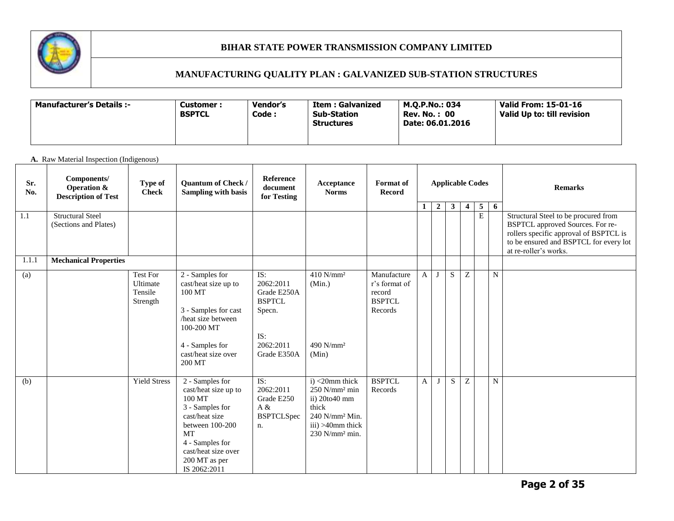

# **MANUFACTURING QUALITY PLAN : GALVANIZED SUB-STATION STRUCTURES**

| -: Manufacturer's Details | Vendor's<br>Customer :<br><b>BSPTCL</b><br>Code : | <b>Item: Galvanized</b><br><b>Sub-Station</b><br><b>Structures</b> | M.O.P.No.: 034<br><b>Rev. No.: 00</b><br>Date: 06.01.2016 | Valid From: 15-01-16<br>Valid Up to: till revision |
|---------------------------|---------------------------------------------------|--------------------------------------------------------------------|-----------------------------------------------------------|----------------------------------------------------|
|---------------------------|---------------------------------------------------|--------------------------------------------------------------------|-----------------------------------------------------------|----------------------------------------------------|

#### **A.** Raw Material Inspection (Indigenous)

| Sr.<br>No. | Components/<br><b>Operation &amp;</b><br><b>Description of Test</b> | Type of<br><b>Check</b>                     | Quantum of Check /<br>Sampling with basis                                                                                                                                                  | Reference<br>document<br>for Testing                                                          | Acceptance<br><b>Norms</b>                                                                                                                                | <b>Format</b> of<br><b>Record</b>                                  |              |                |              |                         | <b>Applicable Codes</b>          |   | <b>Remarks</b>                                                                                                                                                                        |
|------------|---------------------------------------------------------------------|---------------------------------------------|--------------------------------------------------------------------------------------------------------------------------------------------------------------------------------------------|-----------------------------------------------------------------------------------------------|-----------------------------------------------------------------------------------------------------------------------------------------------------------|--------------------------------------------------------------------|--------------|----------------|--------------|-------------------------|----------------------------------|---|---------------------------------------------------------------------------------------------------------------------------------------------------------------------------------------|
| 1.1        | <b>Structural Steel</b><br>(Sections and Plates)                    |                                             |                                                                                                                                                                                            |                                                                                               |                                                                                                                                                           |                                                                    | $\mathbf{1}$ | $\overline{2}$ | $\mathbf{3}$ | $\overline{\mathbf{4}}$ | $\overline{5}$<br>$\overline{E}$ | 6 | Structural Steel to be procured from<br>BSPTCL approved Sources. For re-<br>rollers specific approval of BSPTCL is<br>to be ensured and BSPTCL for every lot<br>at re-roller's works. |
| 1.1.1      | <b>Mechanical Properties</b>                                        |                                             |                                                                                                                                                                                            |                                                                                               |                                                                                                                                                           |                                                                    |              |                |              |                         |                                  |   |                                                                                                                                                                                       |
| (a)        |                                                                     | Test For<br>Ultimate<br>Tensile<br>Strength | 2 - Samples for<br>cast/heat size up to<br>100 MT<br>3 - Samples for cast<br>/heat size between<br>100-200 MT<br>4 - Samples for<br>cast/heat size over<br>200 MT                          | IS:<br>2062:2011<br>Grade E250A<br><b>BSPTCL</b><br>Specn.<br>IS:<br>2062:2011<br>Grade E350A | $410$ N/mm <sup>2</sup><br>(Min.)<br>490 N/mm <sup>2</sup><br>(Min)                                                                                       | Manufacture<br>r's format of<br>record<br><b>BSPTCL</b><br>Records | $\mathbf{A}$ |                | S            | Z                       |                                  | N |                                                                                                                                                                                       |
| (b)        |                                                                     | <b>Yield Stress</b>                         | 2 - Samples for<br>cast/heat size up to<br>100 MT<br>3 - Samples for<br>cast/heat size<br>between 100-200<br>MT<br>4 - Samples for<br>cast/heat size over<br>200 MT as per<br>IS 2062:2011 | IS:<br>2062:2011<br>Grade E250<br>A &<br><b>BSPTCLSpec</b><br>n.                              | i) <20mm thick<br>$250$ N/mm <sup>2</sup> min<br>ii) 20to40 mm<br>thick<br>240 N/mm <sup>2</sup> Min.<br>iii) >40mm thick<br>$230$ N/mm <sup>2</sup> min. | <b>BSPTCL</b><br>Records                                           | A            | J              | S            | Z                       |                                  | N |                                                                                                                                                                                       |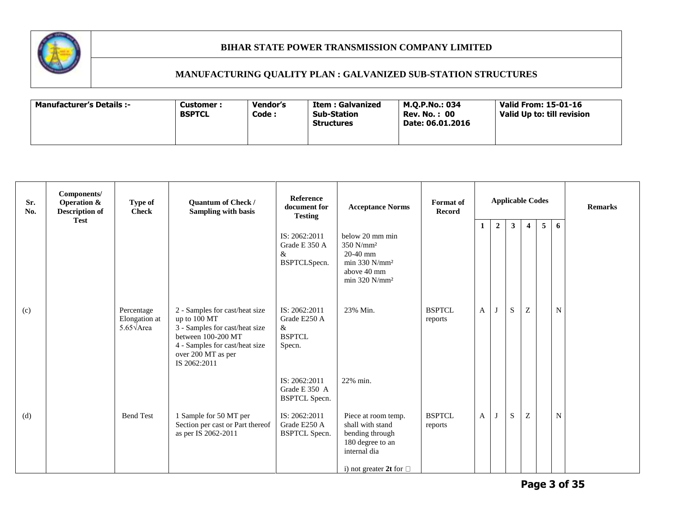

| Vendor's<br><b>Manufacturer's Details :-</b><br><b>Customer :</b><br><b>BSPTCL</b><br>Code : | M.O.P.No.: 034<br>Item : Galvanized<br>Sub-Station<br><b>Rev. No.: 00</b><br>Date: 06.01.2016<br><b>Structures</b> | Valid From: 15-01-16<br>Valid Up to: till revision |
|----------------------------------------------------------------------------------------------|--------------------------------------------------------------------------------------------------------------------|----------------------------------------------------|
|----------------------------------------------------------------------------------------------|--------------------------------------------------------------------------------------------------------------------|----------------------------------------------------|

| Sr.<br>No. | Components/<br><b>Operation &amp;</b><br><b>Description of</b><br><b>Test</b> | <b>Type of</b><br><b>Check</b>                           | Quantum of Check /<br><b>Sampling with basis</b>                                                                                                                               | <b>Reference</b><br>document for<br><b>Testing</b>               | <b>Acceptance Norms</b>                                                                                                        | <b>Format</b> of<br>Record |              |                |                         | <b>Applicable Codes</b> |                 |   | <b>Remarks</b> |
|------------|-------------------------------------------------------------------------------|----------------------------------------------------------|--------------------------------------------------------------------------------------------------------------------------------------------------------------------------------|------------------------------------------------------------------|--------------------------------------------------------------------------------------------------------------------------------|----------------------------|--------------|----------------|-------------------------|-------------------------|-----------------|---|----------------|
|            |                                                                               |                                                          |                                                                                                                                                                                | IS: 2062:2011<br>Grade E 350 A<br>$\&$<br>BSPTCLSpecn.           | below 20 mm min<br>$350$ N/mm <sup>2</sup><br>$20-40$ mm<br>min 330 $N/mm^2$<br>above 40 mm<br>min 320 $N/mm^2$                |                            | $\mathbf{1}$ | $\overline{2}$ | $\overline{\mathbf{3}}$ | $\overline{4}$          | $5\overline{5}$ | 6 |                |
| (c)        |                                                                               | Percentage<br>Elongation at<br>5.65 $\sqrt{\text{Area}}$ | 2 - Samples for cast/heat size<br>up to 100 MT<br>3 - Samples for cast/heat size<br>between 100-200 MT<br>4 - Samples for cast/heat size<br>over 200 MT as per<br>IS 2062:2011 | IS: 2062:2011<br>Grade E250 A<br>$\&$<br><b>BSPTCL</b><br>Specn. | 23% Min.                                                                                                                       | <b>BSPTCL</b><br>reports   | $\mathbf{A}$ | $\mathbf{J}$   | ${\bf S}$               | $\mathbf Z$             |                 | N |                |
|            |                                                                               |                                                          |                                                                                                                                                                                | IS: 2062:2011<br>Grade E 350 A<br><b>BSPTCL Specn.</b>           | 22% min.                                                                                                                       |                            |              |                |                         |                         |                 |   |                |
| (d)        |                                                                               | <b>Bend Test</b>                                         | 1 Sample for 50 MT per<br>Section per cast or Part thereof<br>as per IS 2062-2011                                                                                              | IS: 2062:2011<br>Grade E250 A<br><b>BSPTCL Specn.</b>            | Piece at room temp.<br>shall with stand<br>bending through<br>180 degree to an<br>internal dia<br>i) not greater 2t for $\Box$ | <b>BSPTCL</b><br>reports   | A            |                | S                       | $\boldsymbol{Z}$        |                 | N |                |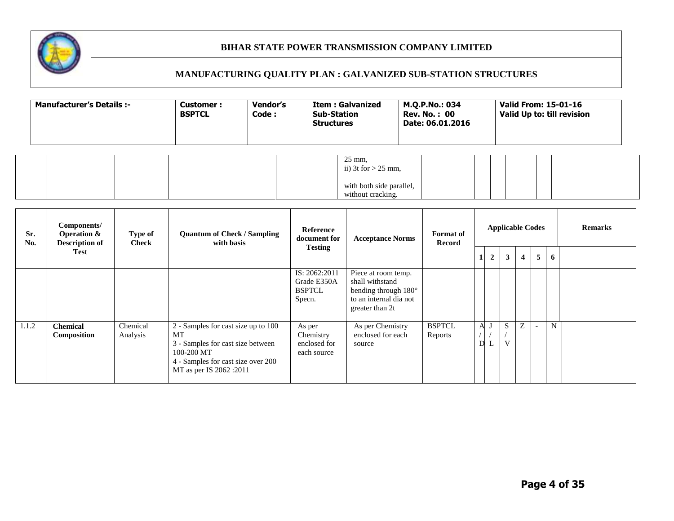

| <b>Manufacturer's Details:-</b> | Customer:<br><b>BSPTCL</b> | Vendor's<br>Code: | <b>Item: Galvanized</b><br><b>Sub-Station</b><br><b>Structures</b>                          | M.Q.P.No.: 034<br><b>Rev. No.: 00</b><br>Date: 06.01.2016 | Valid From: 15-01-16<br>Valid Up to: till revision |
|---------------------------------|----------------------------|-------------------|---------------------------------------------------------------------------------------------|-----------------------------------------------------------|----------------------------------------------------|
|                                 |                            |                   | $25 \text{ mm}$ ,<br>ii) 3t for $> 25$ mm,<br>with both side parallel,<br>without cracking. |                                                           |                                                    |

| Sr.<br>No. | Components/<br><b>Operation &amp;</b><br><b>Description of</b> | Type of<br><b>Check</b> | <b>Quantum of Check / Sampling</b><br>with basis                                                                                                              | <b>Reference</b><br>document for                        | <b>Acceptance Norms</b>                                                                                     | <b>Format</b> of<br><b>Record</b> |   |                | <b>Applicable Codes</b> |                |                |   | <b>Remarks</b> |
|------------|----------------------------------------------------------------|-------------------------|---------------------------------------------------------------------------------------------------------------------------------------------------------------|---------------------------------------------------------|-------------------------------------------------------------------------------------------------------------|-----------------------------------|---|----------------|-------------------------|----------------|----------------|---|----------------|
|            | Test                                                           |                         |                                                                                                                                                               | <b>Testing</b>                                          |                                                                                                             |                                   |   | $\overline{2}$ | 3 <sup>1</sup>          | $\overline{4}$ | $\overline{5}$ | 6 |                |
|            |                                                                |                         |                                                                                                                                                               | IS: 2062:2011<br>Grade E350A<br><b>BSPTCL</b><br>Specn. | Piece at room temp.<br>shall withstand<br>bending through 180°<br>to an internal dia not<br>greater than 2t |                                   |   |                |                         |                |                |   |                |
| 1.1.2      | <b>Chemical</b><br><b>Composition</b>                          | Chemical<br>Analysis    | 2 - Samples for cast size up to 100<br>MT<br>3 - Samples for cast size between<br>100-200 MT<br>4 - Samples for cast size over 200<br>MT as per IS 2062 :2011 | As per<br>Chemistry<br>enclosed for<br>each source      | As per Chemistry<br>enclosed for each<br>source                                                             | <b>BSPTCL</b><br>Reports          | A | ┶              | S<br>V                  | Ζ              |                | N |                |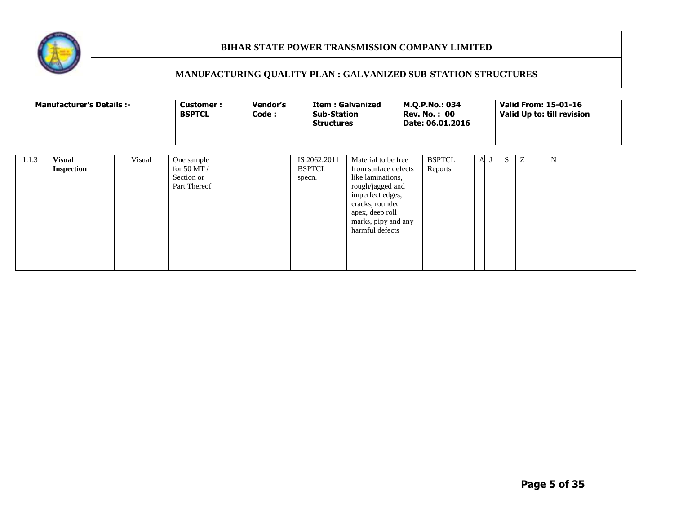

|       | <b>Manufacturer's Details :-</b>   |        | Vendor's<br><b>Customer:</b><br>Code:<br><b>BSPTCL</b><br><b>Structures</b> |  |                         |  | <b>Item: Galvanized</b><br><b>Sub-Station</b><br>Material to be free<br>IS 2062:2011<br>from surface defects<br>like laminations,<br>rough/jagged and<br>imperfect edges,<br>cracks, rounded<br>apex, deep roll |  | M.Q.P.No.: 034<br><b>Rev. No.: 00</b><br>Date: 06.01.2016 |     |         |   | <b>Valid From: 15-01-16</b><br>Valid Up to: till revision |  |
|-------|------------------------------------|--------|-----------------------------------------------------------------------------|--|-------------------------|--|-----------------------------------------------------------------------------------------------------------------------------------------------------------------------------------------------------------------|--|-----------------------------------------------------------|-----|---------|---|-----------------------------------------------------------|--|
| 1.1.3 | <b>Visual</b><br><b>Inspection</b> | Visual | One sample<br>for 50 MT $/$<br>Section or<br>Part Thereof                   |  | <b>BSPTCL</b><br>specn. |  | marks, pipy and any<br>harmful defects                                                                                                                                                                          |  | <b>BSPTCL</b><br>Reports                                  | A J | S.<br>Ζ | N |                                                           |  |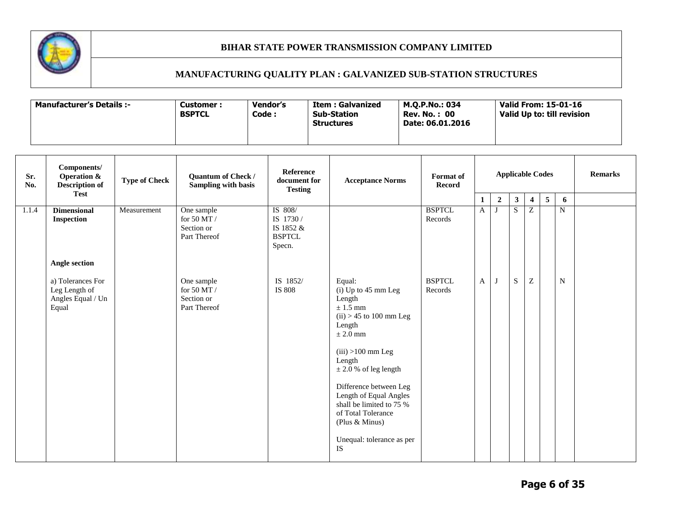

| <b>Manufacturer's Details :-</b> | <b>Customer :</b><br><b>BSPTCL</b> | Vendor's<br>Code: | <b>Item: Galvanized</b><br><b>Sub-Station</b><br><b>Structures</b> | M.O.P.No.: 034<br><b>Rev. No.: 00</b><br>Date: 06.01.2016 | Valid From: 15-01-16<br>Valid Up to: till revision |
|----------------------------------|------------------------------------|-------------------|--------------------------------------------------------------------|-----------------------------------------------------------|----------------------------------------------------|
|----------------------------------|------------------------------------|-------------------|--------------------------------------------------------------------|-----------------------------------------------------------|----------------------------------------------------|

| Sr.<br>No. | Components/<br><b>Operation &amp;</b><br><b>Description of</b><br><b>Test</b> | <b>Type of Check</b> | Quantum of Check /<br>Sampling with basis                   | <b>Reference</b><br>document for<br><b>Testing</b>           | <b>Acceptance Norms</b>                                                                                                                                                                                                                                                                                                                           | Format of<br><b>Record</b> |   |                |              |                           | <b>Applicable Codes</b> |             | <b>Remarks</b> |
|------------|-------------------------------------------------------------------------------|----------------------|-------------------------------------------------------------|--------------------------------------------------------------|---------------------------------------------------------------------------------------------------------------------------------------------------------------------------------------------------------------------------------------------------------------------------------------------------------------------------------------------------|----------------------------|---|----------------|--------------|---------------------------|-------------------------|-------------|----------------|
|            |                                                                               |                      |                                                             |                                                              |                                                                                                                                                                                                                                                                                                                                                   |                            | 1 | $\overline{2}$ | $\mathbf{3}$ | $\overline{\mathbf{4}}$   | $\overline{\mathbf{5}}$ | 6           |                |
| 1.1.4      | <b>Dimensional</b><br><b>Inspection</b>                                       | Measurement          | One sample<br>for 50 MT $/$<br>Section or<br>Part Thereof   | IS 808/<br>IS 1730 /<br>IS 1852 &<br><b>BSPTCL</b><br>Specn. |                                                                                                                                                                                                                                                                                                                                                   | <b>BSPTCL</b><br>Records   | A |                | S            | Z                         |                         | $\mathbf N$ |                |
|            | <b>Angle section</b>                                                          |                      |                                                             |                                                              |                                                                                                                                                                                                                                                                                                                                                   |                            |   |                |              |                           |                         |             |                |
|            | a) Tolerances For<br>Leg Length of<br>Angles Equal / Un<br>Equal              |                      | One sample<br>for 50 MT $\!/$<br>Section or<br>Part Thereof | IS 1852/<br>IS 808                                           | Equal:<br>$(i)$ Up to 45 mm Leg<br>Length<br>$\pm$ 1.5 mm<br>$(ii) > 45$ to 100 mm Leg<br>Length<br>$\pm 2.0$ mm<br>$(iii) > 100$ mm Leg<br>Length<br>$\pm$ 2.0 % of leg length<br>Difference between Leg<br>Length of Equal Angles<br>shall be limited to 75 %<br>of Total Tolerance<br>(Plus & Minus)<br>Unequal: tolerance as per<br><b>IS</b> | <b>BSPTCL</b><br>Records   | A |                | S            | $\ensuremath{\mathbf{Z}}$ |                         | N           |                |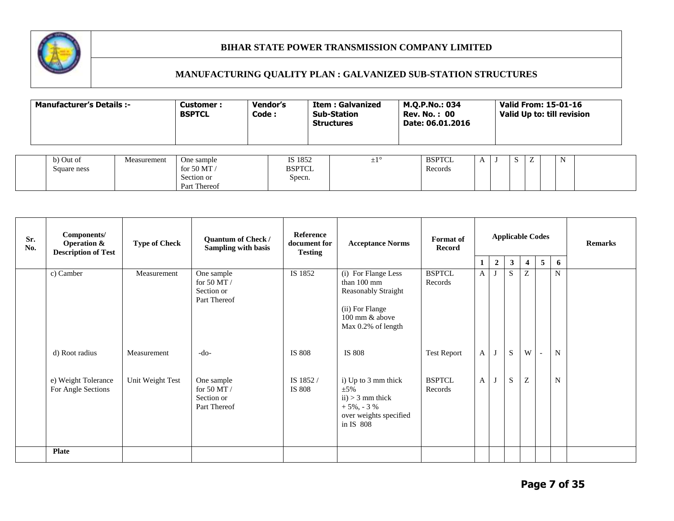

| <b>Manufacturer's Details :-</b>        |  | Customer:<br><b>BSPTCL</b>                                | <b>Vendor's</b><br>Code : |                                    | <b>Item: Galvanized</b><br><b>Sub-Station</b><br><b>Structures</b> | M.Q.P.No.: 034<br><b>Rev. No.: 00</b><br>Date: 06.01.2016 | Valid From: 15-01-16<br>Valid Up to: till revision |  |  |  |  |   |  |
|-----------------------------------------|--|-----------------------------------------------------------|---------------------------|------------------------------------|--------------------------------------------------------------------|-----------------------------------------------------------|----------------------------------------------------|--|--|--|--|---|--|
| b) Out of<br>Measurement<br>Square ness |  | One sample<br>for 50 MT $/$<br>Section or<br>Part Thereof |                           | IS 1852<br><b>BSPTCL</b><br>Specn. | $\pm 1^{\circ}$                                                    |                                                           | <b>BSPTCL</b><br>Records                           |  |  |  |  | N |  |

| Sr.<br>No. | Components/<br><b>Operation &amp;</b><br><b>Description of Test</b> | <b>Type of Check</b> | <b>Quantum of Check /</b><br>Sampling with basis          | Reference<br>document for<br><b>Testing</b> | <b>Acceptance Norms</b>                                                                                        | Format of<br><b>Record</b> |                   |                  |                     |                                                       | <b>Applicable Codes</b>  |        | <b>Remarks</b> |
|------------|---------------------------------------------------------------------|----------------------|-----------------------------------------------------------|---------------------------------------------|----------------------------------------------------------------------------------------------------------------|----------------------------|-------------------|------------------|---------------------|-------------------------------------------------------|--------------------------|--------|----------------|
|            | c) Camber                                                           | Measurement          | One sample                                                | IS 1852                                     | (i) For Flange Less                                                                                            | <b>BSPTCL</b>              | 1<br>$\mathbf{A}$ | $\boldsymbol{2}$ | 3 <sup>1</sup><br>S | $\overline{4}$<br>Z                                   | 5                        | 6<br>N |                |
|            |                                                                     |                      | for 50 MT $/$<br>Section or<br>Part Thereof               |                                             | than 100 mm<br><b>Reasonably Straight</b><br>(ii) For Flange<br>100 mm & above<br>Max 0.2% of length           | Records                    |                   |                  |                     |                                                       |                          |        |                |
|            | d) Root radius                                                      | Measurement          | $-do-$                                                    | IS 808                                      | IS 808                                                                                                         | <b>Test Report</b>         | $\mathbf{A}$      | IJ               | S                   | W                                                     | $\overline{\phantom{a}}$ | N      |                |
|            | e) Weight Tolerance<br>For Angle Sections                           | Unit Weight Test     | One sample<br>for 50 MT $/$<br>Section or<br>Part Thereof | IS 1852 /<br>IS 808                         | i) Up to 3 mm thick<br>$\pm$ 5%<br>$ii) > 3$ mm thick<br>$+5\%$ , - 3 %<br>over weights specified<br>in IS 808 | <b>BSPTCL</b><br>Records   | A                 |                  | S                   | $\mathbf{Z}% ^{T}=\mathbf{Z}^{T}\times\mathbf{Z}^{T}$ |                          | N      |                |
|            | <b>Plate</b>                                                        |                      |                                                           |                                             |                                                                                                                |                            |                   |                  |                     |                                                       |                          |        |                |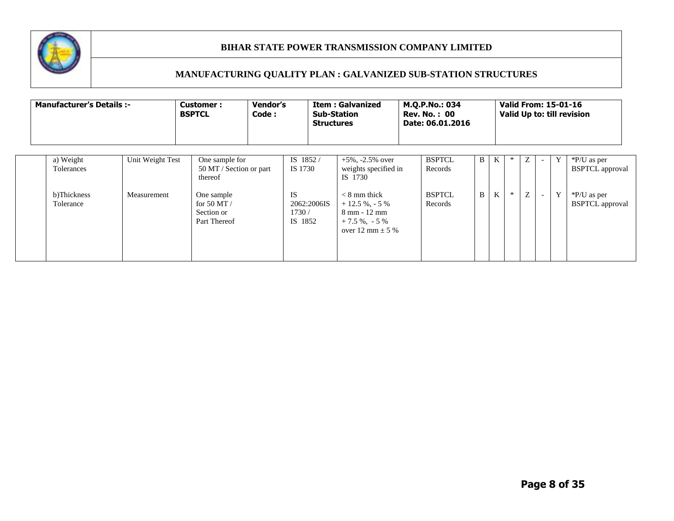

| <b>Manufacturer's Details :-</b> |                  | <b>Customer:</b><br><b>BSPTCL</b>           | Vendor's<br>Code : |                                 | <b>Sub-Station</b><br><b>Structures</b> | <b>Item: Galvanized</b>                                                                          | M.Q.P.No.: 034<br><b>Rev. No.: 00</b><br>Date: 06.01.2016 |    |              |   |   |                          |   | <b>Valid From: 15-01-16</b><br>Valid Up to: till revision |
|----------------------------------|------------------|---------------------------------------------|--------------------|---------------------------------|-----------------------------------------|--------------------------------------------------------------------------------------------------|-----------------------------------------------------------|----|--------------|---|---|--------------------------|---|-----------------------------------------------------------|
| a) Weight                        | Unit Weight Test | One sample for                              |                    | IS 1852/                        |                                         | $+5\%$ , $-2.5\%$ over                                                                           | <b>BSPTCL</b>                                             | B. | K            |   | Z |                          | Y | *P/U as per                                               |
| Tolerances                       |                  | 50 MT / Section or part<br>thereof          |                    | IS 1730                         |                                         | weights specified in<br>IS 1730                                                                  | Records                                                   |    |              |   |   |                          |   | <b>BSPTCL</b> approval                                    |
| b)Thickness                      | Measurement      | One sample                                  |                    | <b>IS</b>                       |                                         | $< 8$ mm thick                                                                                   | <b>BSPTCL</b>                                             | B  | $\mathbf{K}$ | ∗ | Z | $\overline{\phantom{a}}$ | Y | *P/U as per                                               |
| Tolerance                        |                  | for 50 MT $/$<br>Section or<br>Part Thereof |                    | 2062:2006IS<br>1730/<br>IS 1852 |                                         | $+12.5\%$ . - 5 %<br>$8 \text{ mm} - 12 \text{ mm}$<br>$+7.5\%$ , $-5\%$<br>over 12 mm $\pm$ 5 % | Records                                                   |    |              |   |   |                          |   | <b>BSPTCL</b> approval                                    |
|                                  |                  |                                             |                    |                                 |                                         |                                                                                                  |                                                           |    |              |   |   |                          |   |                                                           |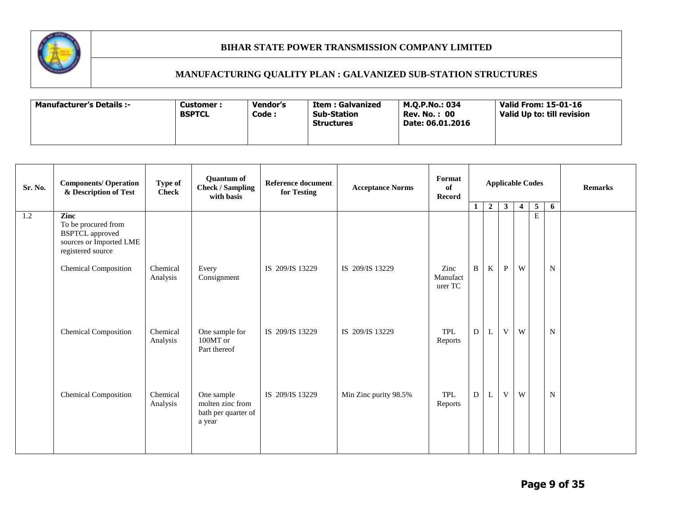

| <b>Manufacturer's Details :-</b> | <b>Customer:</b><br><b>BSPTCL</b> | <b>Vendor's</b><br>Code : | Item : Galvanized<br><b>Sub-Station</b><br><b>Structures</b> | M.O.P.No.: 034<br><b>Rev. No.: 00</b><br>Date: 06.01.2016 | Valid From: 15-01-16<br>Valid Up to: till revision |
|----------------------------------|-----------------------------------|---------------------------|--------------------------------------------------------------|-----------------------------------------------------------|----------------------------------------------------|
|----------------------------------|-----------------------------------|---------------------------|--------------------------------------------------------------|-----------------------------------------------------------|----------------------------------------------------|

| <b>Sr. No.</b> | <b>Components/ Operation</b><br>& Description of Test                                         | Type of<br><b>Check</b> | <b>Quantum of</b><br><b>Check / Sampling</b><br>with basis      | <b>Reference document</b><br>for Testing | <b>Acceptance Norms</b> | Format<br>of<br><b>Record</b> | <b>Applicable Codes</b> |              |              |                | <b>Remarks</b>              |             |  |
|----------------|-----------------------------------------------------------------------------------------------|-------------------------|-----------------------------------------------------------------|------------------------------------------|-------------------------|-------------------------------|-------------------------|--------------|--------------|----------------|-----------------------------|-------------|--|
| 1.2            | <b>Zinc</b>                                                                                   |                         |                                                                 |                                          |                         |                               | $\mathbf{1}$            | $\mathbf{2}$ | $\mathbf{3}$ | $\overline{4}$ | $\mathbf{5}$<br>$\mathbf E$ | 6           |  |
|                | To be procured from<br><b>BSPTCL</b> approved<br>sources or Imported LME<br>registered source |                         |                                                                 |                                          |                         |                               |                         |              |              |                |                             |             |  |
|                | <b>Chemical Composition</b>                                                                   | Chemical<br>Analysis    | Every<br>Consignment                                            | IS 209/IS 13229                          | IS 209/IS 13229         | Zinc<br>Manufact<br>urer TC   | $\mathbf B$             | K            | $\mathbf P$  | W              |                             | $\mathbf N$ |  |
|                | <b>Chemical Composition</b>                                                                   | Chemical<br>Analysis    | One sample for<br>100MT or<br>Part thereof                      | IS 209/IS 13229                          | IS 209/IS 13229         | TPL<br>Reports                | D                       | L            | V            | W              |                             | $\mathbf N$ |  |
|                | <b>Chemical Composition</b>                                                                   | Chemical<br>Analysis    | One sample<br>molten zinc from<br>bath per quarter of<br>a year | IS 209/IS 13229                          | Min Zinc purity 98.5%   | TPL<br>Reports                | D                       | L            | V            | W              |                             | ${\bf N}$   |  |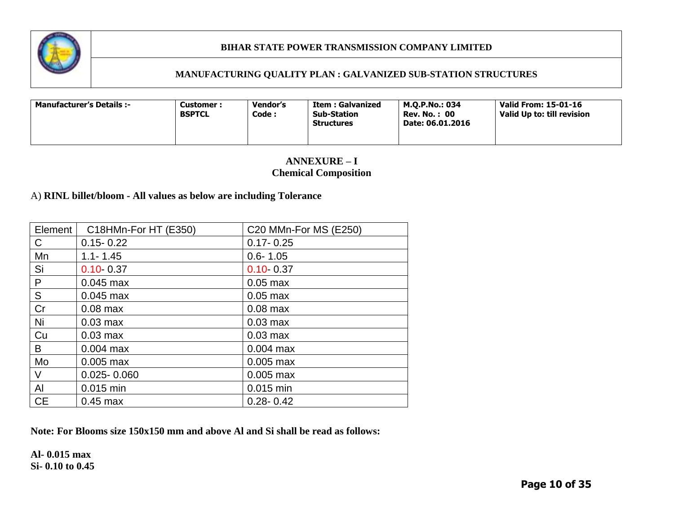

### **MANUFACTURING QUALITY PLAN : GALVANIZED SUB-STATION STRUCTURES**

| <b>Manufacturer's Details :-</b> | Vendor's<br><b>Customer :</b><br><b>BSPTCL</b><br>Code : | Item : Galvanized<br><b>Sub-Station</b><br><b>Structures</b> | M.O.P.No.: 034<br><b>Rev. No.: 00</b><br>Date: 06.01.2016 | Valid From: 15-01-16<br>Valid Up to: till revision |
|----------------------------------|----------------------------------------------------------|--------------------------------------------------------------|-----------------------------------------------------------|----------------------------------------------------|
|----------------------------------|----------------------------------------------------------|--------------------------------------------------------------|-----------------------------------------------------------|----------------------------------------------------|

# **ANNEXURE – I Chemical Composition**

# A) **RINL billet/bloom - All values as below are including Tolerance**

| Element      | C18HMn-For HT (E350) | C20 MMn-For MS (E250) |
|--------------|----------------------|-----------------------|
| C            | $0.15 - 0.22$        | $0.17 - 0.25$         |
| Mn           | $1.1 - 1.45$         | $0.6 - 1.05$          |
| Si           | $0.10 - 0.37$        | $0.10 - 0.37$         |
| $\mathsf{P}$ | $0.045$ max          | $0.05$ max            |
| S            | $0.045$ max          | $0.05$ max            |
| Cr           | $0.08$ max           | $0.08$ max            |
| Ni           | $0.03$ max           | $0.03$ max            |
| Cu           | $0.03$ max           | $0.03$ max            |
| B            | $0.004$ max          | $0.004$ max           |
| Mo           | $0.005$ max          | $0.005$ max           |
| $\vee$       | $0.025 - 0.060$      | $0.005$ max           |
| Al           | $0.015$ min          | $0.015$ min           |
| <b>CE</b>    | $0.45$ max           | $0.28 - 0.42$         |

**Note: For Blooms size 150x150 mm and above Al and Si shall be read as follows:**

**Al- 0.015 max Si- 0.10 to 0.45**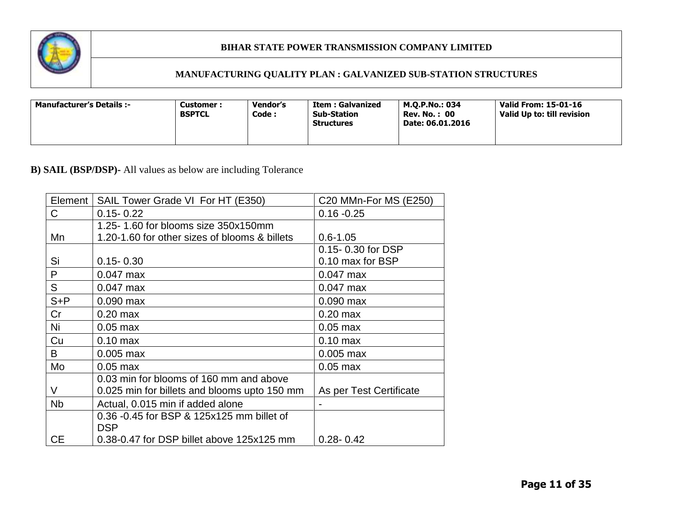

# **MANUFACTURING QUALITY PLAN : GALVANIZED SUB-STATION STRUCTURES**

| <b>Manufacturer's Details :-</b> | Customer:<br><b>BSPTCL</b> | Vendor's<br>Code : | Item : Galvanized<br><b>Sub-Station</b><br><b>Structures</b> | M.O.P.No.: 034<br><b>Rev. No.: 00</b><br>Date: 06.01.2016 | Valid From: 15-01-16<br>Valid Up to: till revision |
|----------------------------------|----------------------------|--------------------|--------------------------------------------------------------|-----------------------------------------------------------|----------------------------------------------------|
|----------------------------------|----------------------------|--------------------|--------------------------------------------------------------|-----------------------------------------------------------|----------------------------------------------------|

# **B) SAIL (BSP/DSP)-** All values as below are including Tolerance

| Element   | SAIL Tower Grade VI For HT (E350)             | C20 MMn-For MS (E250)   |
|-----------|-----------------------------------------------|-------------------------|
| C.        | $0.15 - 0.22$                                 | $0.16 - 0.25$           |
|           | 1.25-1.60 for blooms size 350x150mm           |                         |
| Mn        | 1.20-1.60 for other sizes of blooms & billets | $0.6 - 1.05$            |
|           |                                               | 0.15-0.30 for DSP       |
| Si        | $0.15 - 0.30$                                 | 0.10 max for BSP        |
| P         | $0.047$ max                                   | $0.047$ max             |
| S         | $0.047$ max                                   | $0.047$ max             |
| $S + P$   | $0.090$ max                                   | $0.090$ max             |
| Cr        | $0.20$ max                                    | $0.20$ max              |
| Ni        | $0.05$ max                                    | $0.05$ max              |
| Cu        | $0.10$ max                                    | $0.10$ max              |
| B         | $0.005$ max                                   | $0.005$ max             |
| Mo        | $0.05$ max                                    | $0.05$ max              |
|           | 0.03 min for blooms of 160 mm and above       |                         |
| V         | 0.025 min for billets and blooms upto 150 mm  | As per Test Certificate |
| <b>Nb</b> | Actual, 0.015 min if added alone              |                         |
|           | 0.36 -0.45 for BSP & 125x125 mm billet of     |                         |
|           | <b>DSP</b>                                    |                         |
| <b>CE</b> | 0.38-0.47 for DSP billet above 125x125 mm     | $0.28 - 0.42$           |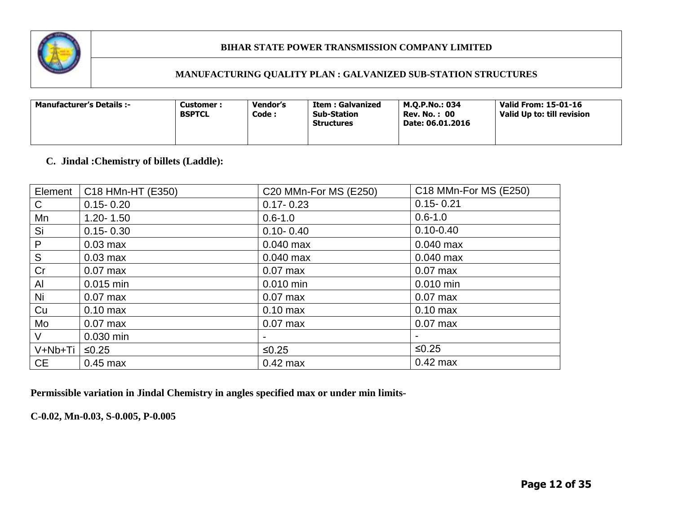

### **MANUFACTURING QUALITY PLAN : GALVANIZED SUB-STATION STRUCTURES**

| <b>Manufacturer's Details :-</b><br>Customer :<br><b>BSPTCL</b> | Vendor's<br>Code : | <b>Item: Galvanized</b><br><b>Sub-Station</b><br><b>Structures</b> | M.O.P.No.: 034<br><b>Rev. No.: 00</b><br>Date: 06.01.2016 | Valid From: 15-01-16<br>Valid Up to: till revision |
|-----------------------------------------------------------------|--------------------|--------------------------------------------------------------------|-----------------------------------------------------------|----------------------------------------------------|
|-----------------------------------------------------------------|--------------------|--------------------------------------------------------------------|-----------------------------------------------------------|----------------------------------------------------|

# **C. Jindal :Chemistry of billets (Laddle):**

| Element   | C18 HMn-HT (E350)  | C20 MMn-For MS (E250) | C18 MMn-For MS (E250) |
|-----------|--------------------|-----------------------|-----------------------|
| C.        | $0.15 - 0.20$      | $0.17 - 0.23$         | $0.15 - 0.21$         |
| Mn        | $1.20 - 1.50$      | $0.6 - 1.0$           | $0.6 - 1.0$           |
| Si        | $0.15 - 0.30$      | $0.10 - 0.40$         | $0.10 - 0.40$         |
| P         | $0.03$ max         | $0.040$ max           | $0.040$ max           |
| ${\sf S}$ | $0.03$ max         | $0.040$ max           | $0.040$ max           |
| Cr        | $0.07$ max         | $0.07$ max            | $0.07$ max            |
| Al        | $0.015$ min        | 0.010 min             | $0.010$ min           |
| Ni        | $0.07$ max         | $0.07$ max            | $0.07$ max            |
| Cu        | $0.10 \text{ max}$ | $0.10$ max            | $0.10$ max            |
| Mo        | $0.07$ max         | $0.07$ max            | $0.07$ max            |
| V         | 0.030 min          |                       |                       |
| V+Nb+Ti   | $≤0.25$            | $≤0.25$               | $≤0.25$               |
| <b>CE</b> | $0.45$ max         | $0.42$ max            | $0.42$ max            |

**Permissible variation in Jindal Chemistry in angles specified max or under min limits-**

**C-0.02, Mn-0.03, S-0.005, P-0.005**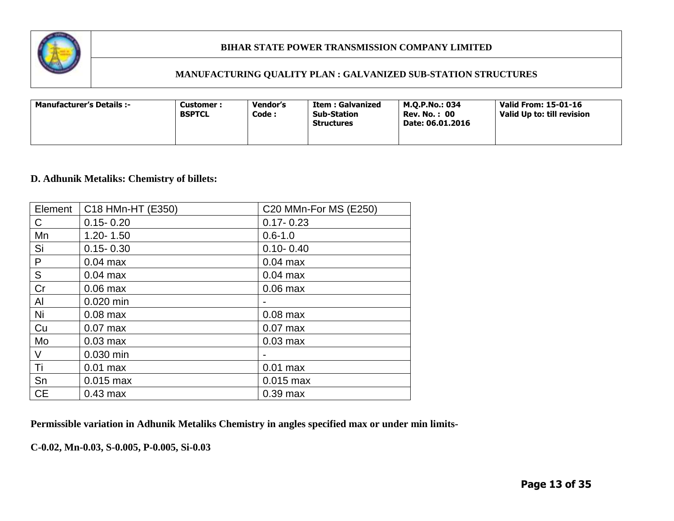

### **MANUFACTURING QUALITY PLAN : GALVANIZED SUB-STATION STRUCTURES**

| <b>Manufacturer's Details :-</b><br>Customer :<br><b>BSPTCL</b> | Vendor's<br>Code : | Item : Galvanized<br><b>Sub-Station</b><br><b>Structures</b> | M.O.P.No.: 034<br><b>Rev. No.: 00</b><br>Date: 06.01.2016 | Valid From: 15-01-16<br>Valid Up to: till revision |
|-----------------------------------------------------------------|--------------------|--------------------------------------------------------------|-----------------------------------------------------------|----------------------------------------------------|
|-----------------------------------------------------------------|--------------------|--------------------------------------------------------------|-----------------------------------------------------------|----------------------------------------------------|

# **D. Adhunik Metaliks: Chemistry of billets:**

| Element   | C18 HMn-HT (E350) | C20 MMn-For MS (E250) |
|-----------|-------------------|-----------------------|
| С         | $0.15 - 0.20$     | $0.17 - 0.23$         |
| Mn        | $1.20 - 1.50$     | $0.6 - 1.0$           |
| Si        | $0.15 - 0.30$     | $0.10 - 0.40$         |
| P         | $0.04$ max        | $0.04$ max            |
| ${\sf S}$ | $0.04$ max        | $0.04$ max            |
| Cr        | $0.06$ max        | $0.06$ max            |
| Al        | 0.020 min         |                       |
| Ni        | $0.08$ max        | $0.08$ max            |
| Cu        | $0.07$ max        | $0.07$ max            |
| Mo        | $0.03$ max        | $0.03$ max            |
| V         | 0.030 min         |                       |
| Τi        | $0.01$ max        | $0.01$ max            |
| Sn        | $0.015$ max       | $0.015$ max           |
| <b>CE</b> | $0.43$ max        | $0.39$ max            |

**Permissible variation in Adhunik Metaliks Chemistry in angles specified max or under min limits-**

**C-0.02, Mn-0.03, S-0.005, P-0.005, Si-0.03**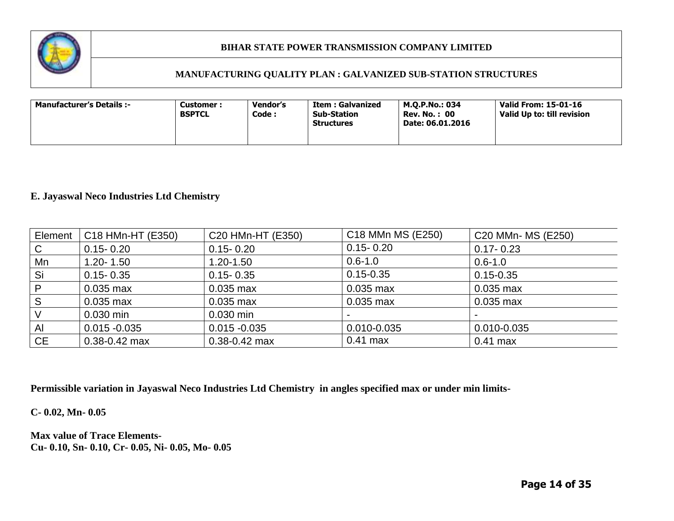

### **MANUFACTURING QUALITY PLAN : GALVANIZED SUB-STATION STRUCTURES**

| <b>Manufacturer's Details :-</b><br><b>Customer :</b><br><b>BSPTCL</b> | Vendor's<br>Code : | Item : Galvanized<br><b>Sub-Station</b><br><b>Structures</b> | M.O.P.No.: 034<br><b>Rev. No.: 00</b><br>Date: 06.01.2016 | Valid From: 15-01-16<br>Valid Up to: till revision |
|------------------------------------------------------------------------|--------------------|--------------------------------------------------------------|-----------------------------------------------------------|----------------------------------------------------|
|------------------------------------------------------------------------|--------------------|--------------------------------------------------------------|-----------------------------------------------------------|----------------------------------------------------|

# **E. Jayaswal Neco Industries Ltd Chemistry**

| Element      | C18 HMn-HT (E350) | C20 HMn-HT (E350) | C18 MMn MS (E250)        | C20 MMn- MS (E250)       |
|--------------|-------------------|-------------------|--------------------------|--------------------------|
| C            | $0.15 - 0.20$     | $0.15 - 0.20$     | $0.15 - 0.20$            | $0.17 - 0.23$            |
| Mn           | $1.20 - 1.50$     | $1.20 - 1.50$     | $0.6 - 1.0$              | $0.6 - 1.0$              |
| Si           | $0.15 - 0.35$     | $0.15 - 0.35$     | $0.15 - 0.35$            | $0.15 - 0.35$            |
| $\mathsf{P}$ | $0.035$ max       | $0.035$ max       | $0.035$ max              | $0.035$ max              |
| S            | $0.035$ max       | $0.035$ max       | $0.035$ max              | $0.035$ max              |
|              | $0.030$ min       | $0.030$ min       | $\overline{\phantom{0}}$ | $\overline{\phantom{0}}$ |
| AI           | $0.015 - 0.035$   | $0.015 - 0.035$   | 0.010-0.035              | 0.010-0.035              |
| <b>CE</b>    | $0.38 - 0.42$ max | $0.38 - 0.42$ max | $0.41$ max               | $0.41$ max               |

**Permissible variation in Jayaswal Neco Industries Ltd Chemistry in angles specified max or under min limits-**

**C- 0.02, Mn- 0.05**

**Max value of Trace Elements-Cu- 0.10, Sn- 0.10, Cr- 0.05, Ni- 0.05, Mo- 0.05**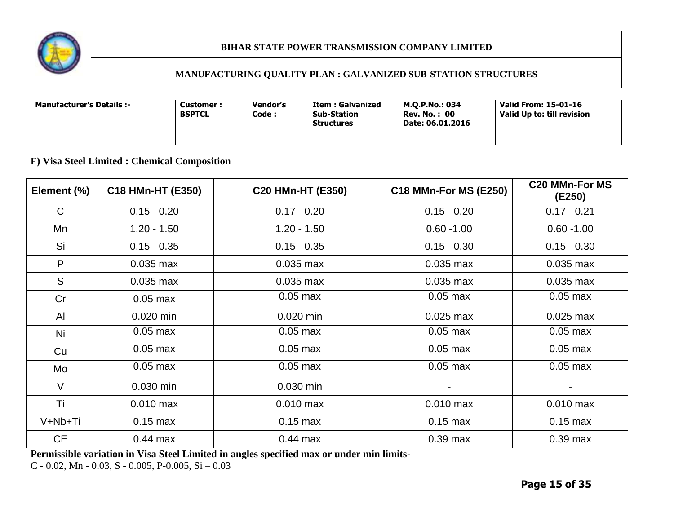

### **MANUFACTURING QUALITY PLAN : GALVANIZED SUB-STATION STRUCTURES**

| <b>Manufacturer's Details :-</b> | Customer :<br><b>BSPTCL</b> | Vendor's<br>Code : | Item : Galvanized<br><b>Sub-Station</b><br><b>Structures</b> | M.O.P.No.: 034<br><b>Rev. No.: 00</b><br>Date: 06.01.2016 | Valid From: 15-01-16<br>Valid Up to: till revision |
|----------------------------------|-----------------------------|--------------------|--------------------------------------------------------------|-----------------------------------------------------------|----------------------------------------------------|
|----------------------------------|-----------------------------|--------------------|--------------------------------------------------------------|-----------------------------------------------------------|----------------------------------------------------|

# **F) Visa Steel Limited : Chemical Composition**

| Element (%) | C18 HMn-HT (E350) | C20 HMn-HT (E350) | <b>C18 MMn-For MS (E250)</b> | <b>C20 MMn-For MS</b><br>(E250) |
|-------------|-------------------|-------------------|------------------------------|---------------------------------|
| $\mathsf C$ | $0.15 - 0.20$     | $0.17 - 0.20$     | $0.15 - 0.20$                | $0.17 - 0.21$                   |
| Mn          | $1.20 - 1.50$     | $1.20 - 1.50$     | $0.60 - 1.00$                | $0.60 - 1.00$                   |
| Si          | $0.15 - 0.35$     | $0.15 - 0.35$     | $0.15 - 0.30$                | $0.15 - 0.30$                   |
| P           | $0.035$ max       | $0.035$ max       | $0.035$ max                  | $0.035$ max                     |
| S           | $0.035$ max       | $0.035$ max       | $0.035$ max                  | $0.035$ max                     |
| Cr          | $0.05$ max        | $0.05$ max        | $0.05$ max                   | $0.05$ max                      |
| AI          | $0.020$ min       | 0.020 min         | $0.025$ max                  | $0.025$ max                     |
| Ni          | $0.05$ max        | $0.05$ max        | $0.05$ max                   | $0.05$ max                      |
| Cu          | $0.05$ max        | $0.05$ max        | $0.05$ max                   | $0.05$ max                      |
| Mo          | $0.05$ max        | $0.05$ max        | $0.05$ max                   | $0.05$ max                      |
| $\vee$      | 0.030 min         | 0.030 min         | -                            |                                 |
| Τi          | $0.010$ max       | $0.010$ max       | $0.010$ max                  | $0.010$ max                     |
| V+Nb+Ti     | $0.15$ max        | $0.15$ max        | $0.15$ max                   | $0.15$ max                      |
| <b>CE</b>   | $0.44$ max        | $0.44$ max        | $0.39$ max                   | $0.39$ max                      |

**Permissible variation in Visa Steel Limited in angles specified max or under min limits-**

C - 0.02, Mn - 0.03, S - 0.005, P-0.005, Si  $-$  0.03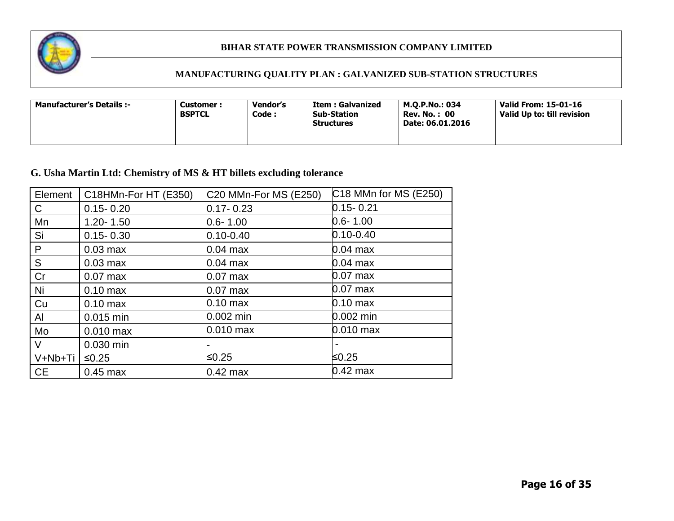

# **MANUFACTURING QUALITY PLAN : GALVANIZED SUB-STATION STRUCTURES**

| <b>Manufacturer's Details :-</b> | Customer :<br><b>BSPTCL</b> | Vendor's<br>Code : | Item : Galvanized<br><b>Sub-Station</b><br><b>Structures</b> | M.O.P.No.: 034<br><b>Rev. No. : 00</b><br>Date: 06.01.2016 | <b>Valid From: 15-01-16</b><br>Valid Up to: till revision |
|----------------------------------|-----------------------------|--------------------|--------------------------------------------------------------|------------------------------------------------------------|-----------------------------------------------------------|
|----------------------------------|-----------------------------|--------------------|--------------------------------------------------------------|------------------------------------------------------------|-----------------------------------------------------------|

# **G. Usha Martin Ltd: Chemistry of MS & HT billets excluding tolerance**

| Element      | C18HMn-For HT (E350) | C20 MMn-For MS (E250) | C18 MMn for MS (E250) |
|--------------|----------------------|-----------------------|-----------------------|
| $\mathsf{C}$ | $0.15 - 0.20$        | $0.17 - 0.23$         | $0.15 - 0.21$         |
| Mn           | $1.20 - 1.50$        | $0.6 - 1.00$          | $0.6 - 1.00$          |
| Si           | $0.15 - 0.30$        | $0.10 - 0.40$         | $0.10 - 0.40$         |
| P            | $0.03$ max           | $0.04$ max            | $0.04$ max            |
| S            | $0.03$ max           | $0.04$ max            | $0.04$ max            |
| Cr           | $0.07$ max           | $0.07$ max            | $0.07$ max            |
| Ni           | $0.10$ max           | $0.07$ max            | $0.07$ max            |
| Cu           | $0.10$ max           | $0.10$ max            | $0.10 \text{ max}$    |
| Al           | 0.015 min            | $0.002$ min           | 0.002 min             |
| Mo           | $0.010$ max          | $0.010$ max           | $0.010$ max           |
| $\vee$       | 0.030 min            |                       |                       |
| V+Nb+Ti      | $≤0.25$              | $≤0.25$               | ≤0.25                 |
| <b>CE</b>    | $0.45$ max           | $0.42$ max            | $0.42$ max            |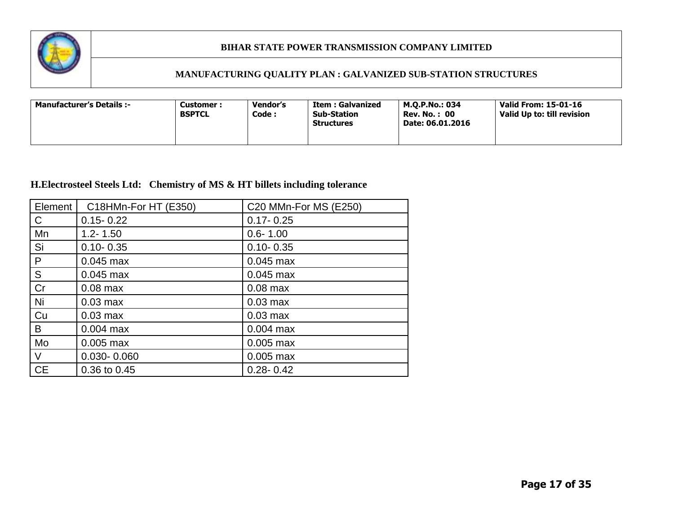

### **MANUFACTURING QUALITY PLAN : GALVANIZED SUB-STATION STRUCTURES**

| <b>Manufacturer's Details :-</b> | Vendor's<br>Customer :<br><b>BSPTCL</b><br>Code: | Item : Galvanized<br><b>Sub-Station</b><br><b>Structures</b> | M.O.P.No.: 034<br><b>Rev. No.: 00</b><br>Date: 06.01.2016 | Valid From: 15-01-16<br>Valid Up to: till revision |
|----------------------------------|--------------------------------------------------|--------------------------------------------------------------|-----------------------------------------------------------|----------------------------------------------------|
|----------------------------------|--------------------------------------------------|--------------------------------------------------------------|-----------------------------------------------------------|----------------------------------------------------|

# **H.Electrosteel Steels Ltd: Chemistry of MS & HT billets including tolerance**

| Element   | C18HMn-For HT (E350) | C20 MMn-For MS (E250) |
|-----------|----------------------|-----------------------|
| C         | $0.15 - 0.22$        | $0.17 - 0.25$         |
| Mn        | $1.2 - 1.50$         | $0.6 - 1.00$          |
| Si        | $0.10 - 0.35$        | $0.10 - 0.35$         |
| P         | $0.045$ max          | $0.045$ max           |
| S         | $0.045$ max          | $0.045$ max           |
| Cr        | $0.08$ max           | $0.08$ max            |
| Ni        | $0.03$ max           | $0.03$ max            |
| Cu        | $0.03$ max           | $0.03$ max            |
| B         | $0.004$ max          | $0.004$ max           |
| Mo        | $0.005$ max          | $0.005$ max           |
| V         | $0.030 - 0.060$      | $0.005$ max           |
| <b>CE</b> | 0.36 to 0.45         | $0.28 - 0.42$         |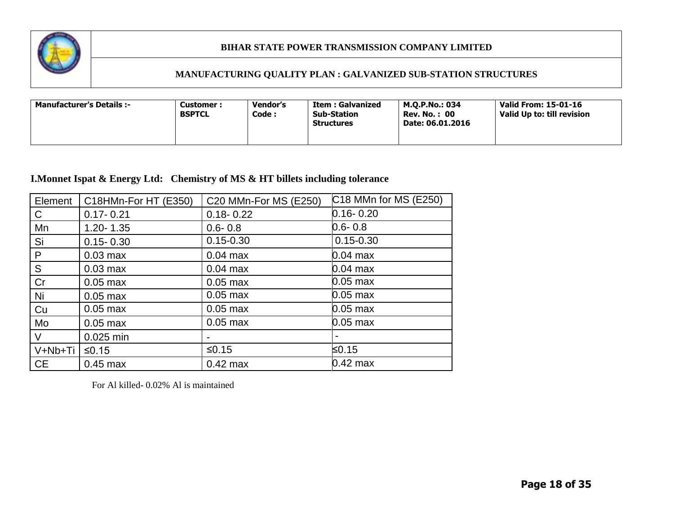

### **MANUFACTURING QUALITY PLAN : GALVANIZED SUB-STATION STRUCTURES**

| <b>Manufacturer's Details :-</b><br>Customer:<br><b>BSPTCL</b> | Vendor's<br>Code : | <b>Item: Galvanized</b><br><b>Sub-Station</b><br><b>Structures</b> | M.O.P.No.: 034<br><b>Rev. No.: 00</b><br>Date: 06.01.2016 | Valid From: 15-01-16<br>Valid Up to: till revision |  |
|----------------------------------------------------------------|--------------------|--------------------------------------------------------------------|-----------------------------------------------------------|----------------------------------------------------|--|
|----------------------------------------------------------------|--------------------|--------------------------------------------------------------------|-----------------------------------------------------------|----------------------------------------------------|--|

# **I.Monnet Ispat & Energy Ltd: Chemistry of MS & HT billets including tolerance**

| Element   | C18HMn-For HT (E350) | C20 MMn-For MS (E250) | C18 MMn for MS (E250) |
|-----------|----------------------|-----------------------|-----------------------|
| C         | $0.17 - 0.21$        | $0.18 - 0.22$         | $0.16 - 0.20$         |
| Mn        | $1.20 - 1.35$        | $0.6 - 0.8$           | $0.6 - 0.8$           |
| Si        | $0.15 - 0.30$        | $0.15 - 0.30$         | $0.15 - 0.30$         |
| P         | $0.03$ max           | $0.04$ max            | $0.04$ max            |
| S         | $0.03$ max           | $0.04$ max            | $0.04$ max            |
| Cr        | $0.05$ max           | $0.05$ max            | $0.05$ max            |
| Ni        | $0.05$ max           | $0.05$ max            | $0.05$ max            |
| Cu        | $0.05$ max           | $0.05$ max            | $0.05$ max            |
| Mo        | $0.05$ max           | $0.05$ max            | $0.05$ max            |
| V         | 0.025 min            |                       |                       |
| V+Nb+Ti   | $≤0.15$              | $≤0.15$               | ≤0.15                 |
| <b>CE</b> | $0.45$ max           | $0.42$ max            | $0.42$ max            |

For Al killed- 0.02% Al is maintained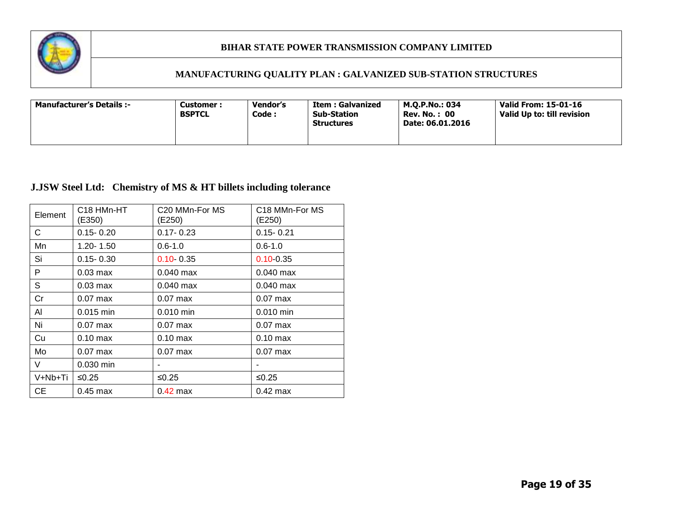

# **MANUFACTURING QUALITY PLAN : GALVANIZED SUB-STATION STRUCTURES**

| <b>Manufacturer's Details :-</b> | Customer :<br><b>BSPTCL</b> | <b>Vendor's</b><br>Code : | Item : Galvanized<br><b>Sub-Station</b><br><b>Structures</b> | M.O.P.No.: 034<br><b>Rev. No. : 00</b><br>Date: 06.01.2016 | Valid From: 15-01-16<br>Valid Up to: till revision |
|----------------------------------|-----------------------------|---------------------------|--------------------------------------------------------------|------------------------------------------------------------|----------------------------------------------------|
|----------------------------------|-----------------------------|---------------------------|--------------------------------------------------------------|------------------------------------------------------------|----------------------------------------------------|

# **J.JSW Steel Ltd: Chemistry of MS & HT billets including tolerance**

| Element | C <sub>18</sub> HM <sub>n</sub> -H <sub>T</sub><br>(E350) | C <sub>20</sub> MM <sub>n</sub> -For M <sub>S</sub><br>(E250) | C18 MMn-For MS<br>(E250) |
|---------|-----------------------------------------------------------|---------------------------------------------------------------|--------------------------|
| С       | $0.15 - 0.20$                                             | $0.17 - 0.23$                                                 | $0.15 - 0.21$            |
| Mn      | 1.20-1.50                                                 | $0.6 - 1.0$                                                   | $0.6 - 1.0$              |
| Si      | $0.15 - 0.30$                                             | $0.10 - 0.35$                                                 | $0.10 - 0.35$            |
| P       | $0.03$ max                                                | $0.040$ max                                                   | $0.040$ max              |
| S       | $0.03$ max                                                | $0.040$ max                                                   | $0.040$ max              |
| Cr      | $0.07$ max                                                | $0.07$ max                                                    | $0.07$ max               |
| Al      | $0.015$ min                                               | $0.010$ min                                                   | $0.010$ min              |
| Ni      | $0.07$ max                                                | $0.07$ max                                                    | $0.07$ max               |
| Cu      | $0.10$ max                                                | $0.10 \text{ max}$                                            | $0.10$ max               |
| Mo      | $0.07$ max                                                | $0.07$ max                                                    | $0.07$ max               |
| V       | $0.030$ min                                               |                                                               |                          |
| V+Nb+Ti | ≤ $0.25$                                                  | ≤ $0.25$                                                      | ≤0.25                    |
| CЕ      | $0.45$ max                                                | $0.42$ max                                                    | $0.42$ max               |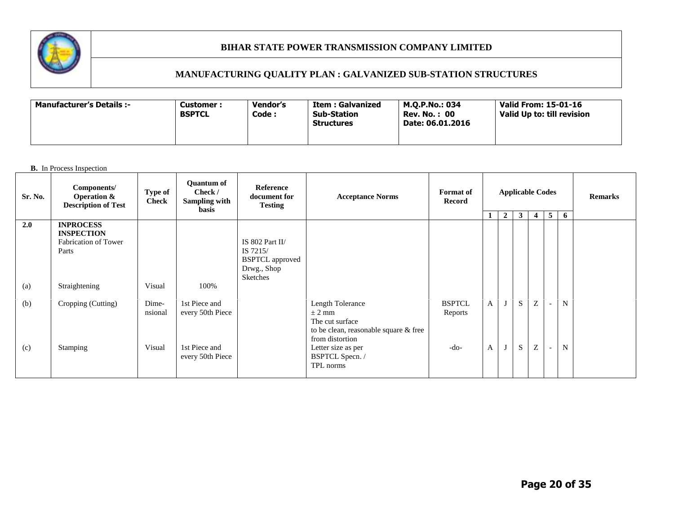

# **MANUFACTURING QUALITY PLAN : GALVANIZED SUB-STATION STRUCTURES**

| <b>Manufacturer's Details :-</b> | <b>Customer :</b><br><b>BSPTCL</b> | Vendor's<br>Code : | Item : Galvanized<br><b>Sub-Station</b><br><b>Structures</b> | M.O.P.No.: 034<br><b>Rev. No. : 00</b><br>Date: 06.01.2016 | Valid From: 15-01-16<br>Valid Up to: till revision |
|----------------------------------|------------------------------------|--------------------|--------------------------------------------------------------|------------------------------------------------------------|----------------------------------------------------|
|----------------------------------|------------------------------------|--------------------|--------------------------------------------------------------|------------------------------------------------------------|----------------------------------------------------|

| Sr. No. | Components/<br><b>Operation &amp;</b><br><b>Description of Test</b>           | Type of<br><b>Check</b> | <b>Ouantum of</b><br>Check /<br>Sampling with<br>basis | Reference<br>document for<br><b>Testing</b>                                             | <b>Acceptance Norms</b>                                                                                       | <b>Applicable Codes</b><br><b>Format</b> of<br>Record |              |                |              |                |                          | <b>Remarks</b> |  |
|---------|-------------------------------------------------------------------------------|-------------------------|--------------------------------------------------------|-----------------------------------------------------------------------------------------|---------------------------------------------------------------------------------------------------------------|-------------------------------------------------------|--------------|----------------|--------------|----------------|--------------------------|----------------|--|
|         |                                                                               |                         |                                                        |                                                                                         |                                                                                                               |                                                       | $\mathbf{1}$ | $\overline{2}$ | $\mathbf{3}$ | $\overline{4}$ | 5 <sup>5</sup>           | 6              |  |
| 2.0     | <b>INPROCESS</b><br><b>INSPECTION</b><br><b>Fabrication of Tower</b><br>Parts |                         |                                                        | IS 802 Part II/<br>IS 7215/<br><b>BSPTCL</b> approved<br>Drwg., Shop<br><b>Sketches</b> |                                                                                                               |                                                       |              |                |              |                |                          |                |  |
| (a)     | Straightening                                                                 | Visual                  | 100%                                                   |                                                                                         |                                                                                                               |                                                       |              |                |              |                |                          |                |  |
| (b)     | Cropping (Cutting)                                                            | Dime-<br>nsional        | 1st Piece and<br>every 50th Piece                      |                                                                                         | Length Tolerance<br>$\pm$ 2 mm<br>The cut surface<br>to be clean, reasonable square & free<br>from distortion | <b>BSPTCL</b><br>Reports                              | $\mathbf{A}$ |                | S            | Z              | $\overline{\phantom{a}}$ | N              |  |
| (c)     | <b>Stamping</b>                                                               | Visual                  | 1st Piece and<br>every 50th Piece                      |                                                                                         | Letter size as per<br>BSPTCL Specn. /<br>TPL norms                                                            | -do-                                                  | $\mathbf{A}$ |                | $\mathbf S$  | Z              | $\sim$                   | N              |  |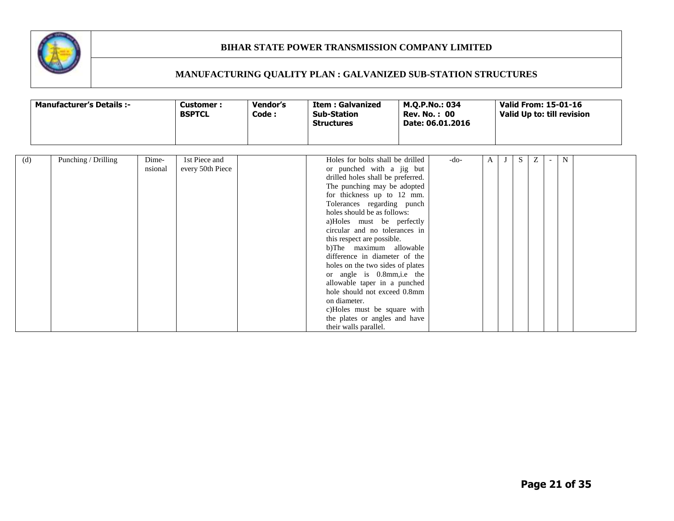

|     | <b>Manufacturer's Details :-</b> |                  | <b>Customer:</b><br><b>BSPTCL</b> | Vendor's<br>Code: | <b>Item: Galvanized</b><br><b>Sub-Station</b><br><b>Structures</b>                                                                                                                                                                                                                                                                                                                                                                                                                                                                                                                                                              |      | <b>Valid From: 15-01-16</b> |  |    |   | Valid Up to: till revision |  |
|-----|----------------------------------|------------------|-----------------------------------|-------------------|---------------------------------------------------------------------------------------------------------------------------------------------------------------------------------------------------------------------------------------------------------------------------------------------------------------------------------------------------------------------------------------------------------------------------------------------------------------------------------------------------------------------------------------------------------------------------------------------------------------------------------|------|-----------------------------|--|----|---|----------------------------|--|
| (d) | Punching / Drilling              | Dime-<br>nsional | 1st Piece and<br>every 50th Piece |                   | Holes for bolts shall be drilled<br>or punched with a jig but<br>drilled holes shall be preferred.<br>The punching may be adopted<br>for thickness up to 12 mm.<br>Tolerances regarding punch<br>holes should be as follows:<br>a)Holes must be perfectly<br>circular and no tolerances in<br>this respect are possible.<br>b)The maximum allowable<br>difference in diameter of the<br>holes on the two sides of plates<br>or angle is 0.8mm, i.e the<br>allowable taper in a punched<br>hole should not exceed 0.8mm<br>on diameter.<br>c)Holes must be square with<br>the plates or angles and have<br>their walls parallel. | -do- | A                           |  | S. | Ζ | N                          |  |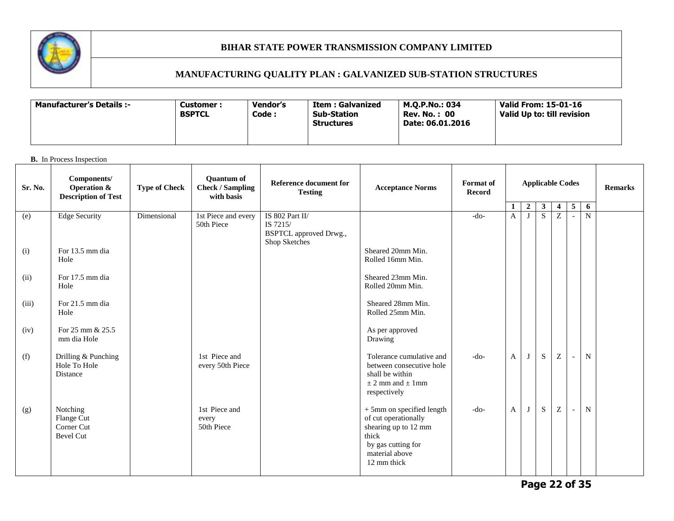

# **MANUFACTURING QUALITY PLAN : GALVANIZED SUB-STATION STRUCTURES**

| -: Manufacturer's Details | Customer :<br><b>BSPTCL</b> | Vendor's<br>Code : | Item : Galvanized<br><b>Sub-Station</b><br><b>Structures</b> | M.O.P.No.: 034<br><b>Rev. No. : 00</b><br>Date: 06.01.2016 | Valid From: 15-01-16<br>Valid Up to: till revision |
|---------------------------|-----------------------------|--------------------|--------------------------------------------------------------|------------------------------------------------------------|----------------------------------------------------|
|---------------------------|-----------------------------|--------------------|--------------------------------------------------------------|------------------------------------------------------------|----------------------------------------------------|

| Sr. No. | Components/<br>Operation &<br><b>Description of Test</b> | <b>Type of Check</b> | <b>Ouantum of</b><br><b>Check / Sampling</b><br>with basis | Reference document for<br><b>Testing</b>                                      | <b>Acceptance Norms</b>                                                                                                                          | <b>Format</b> of<br><b>Record</b> |              | <b>Applicable Codes</b> |              |                           |                          |                |  |  |  | <b>Remarks</b> |
|---------|----------------------------------------------------------|----------------------|------------------------------------------------------------|-------------------------------------------------------------------------------|--------------------------------------------------------------------------------------------------------------------------------------------------|-----------------------------------|--------------|-------------------------|--------------|---------------------------|--------------------------|----------------|--|--|--|----------------|
|         |                                                          |                      |                                                            |                                                                               |                                                                                                                                                  |                                   |              | $\mathbf{2}$            | $\mathbf{3}$ | $\overline{4}$            | 5 <sup>5</sup>           | 6              |  |  |  |                |
| (e)     | <b>Edge Security</b>                                     | Dimensional          | 1st Piece and every<br>50th Piece                          | IS 802 Part II/<br>IS 7215/<br><b>BSPTCL</b> approved Drwg.,<br>Shop Sketches |                                                                                                                                                  | $-do-$                            | $\mathbf{A}$ | J                       | S            | Z                         |                          | $\overline{N}$ |  |  |  |                |
| (i)     | For 13.5 mm dia<br>Hole                                  |                      |                                                            |                                                                               | Sheared 20mm Min.<br>Rolled 16mm Min.                                                                                                            |                                   |              |                         |              |                           |                          |                |  |  |  |                |
| (ii)    | For 17.5 mm dia<br>Hole                                  |                      |                                                            |                                                                               | Sheared 23mm Min.<br>Rolled 20mm Min.                                                                                                            |                                   |              |                         |              |                           |                          |                |  |  |  |                |
| (iii)   | For 21.5 mm dia<br>Hole                                  |                      |                                                            |                                                                               | Sheared 28mm Min.<br>Rolled 25mm Min.                                                                                                            |                                   |              |                         |              |                           |                          |                |  |  |  |                |
| (iv)    | For 25 mm & 25.5<br>mm dia Hole                          |                      |                                                            |                                                                               | As per approved<br>Drawing                                                                                                                       |                                   |              |                         |              |                           |                          |                |  |  |  |                |
| (f)     | Drilling & Punching<br>Hole To Hole<br>Distance          |                      | 1st Piece and<br>every 50th Piece                          |                                                                               | Tolerance cumulative and<br>between consecutive hole<br>shall be within<br>$\pm$ 2 mm and $\pm$ 1 mm<br>respectively                             | $-do-$                            | $\mathbf{A}$ | J                       | S            | Z                         | $\sim$                   | $\mathbf N$    |  |  |  |                |
| (g)     | Notching<br>Flange Cut<br>Corner Cut<br><b>Bevel Cut</b> |                      | 1st Piece and<br>every<br>50th Piece                       |                                                                               | $+$ 5mm on specified length $\,$<br>of cut operationally<br>shearing up to 12 mm<br>thick<br>by gas cutting for<br>material above<br>12 mm thick | $-do-$                            | $\mathbf{A}$ | J                       | S            | $\ensuremath{\mathbf{Z}}$ | $\overline{\phantom{a}}$ | N              |  |  |  |                |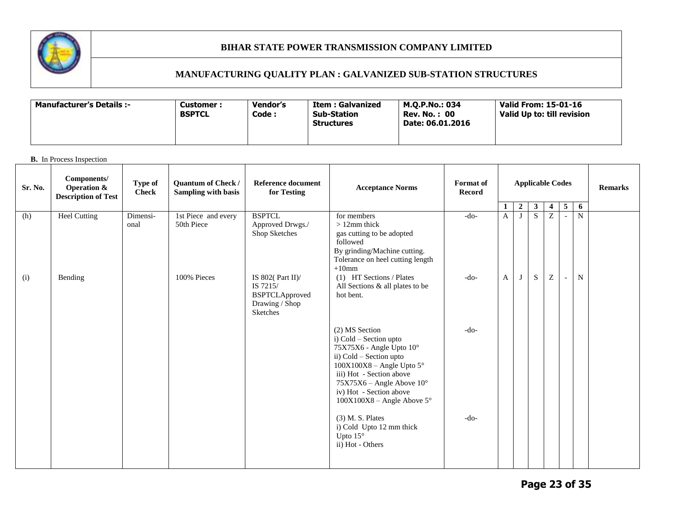

# **MANUFACTURING QUALITY PLAN : GALVANIZED SUB-STATION STRUCTURES**

| -: Manufacturer's Details | Vendor's<br>Customer :<br><b>BSPTCL</b><br>Code : | Item : Galvanized<br>Sub-Station<br><b>Structures</b> | M.O.P.No.: 034<br><b>Rev. No. : 00</b><br>Date: 06.01.2016 | Valid From: 15-01-16<br>Valid Up to: till revision |
|---------------------------|---------------------------------------------------|-------------------------------------------------------|------------------------------------------------------------|----------------------------------------------------|
|---------------------------|---------------------------------------------------|-------------------------------------------------------|------------------------------------------------------------|----------------------------------------------------|

| Sr. No. | Components/<br><b>Operation &amp;</b><br><b>Description of Test</b> | Type of<br><b>Check</b> | Quantum of Check /<br><b>Sampling with basis</b> | <b>Reference document</b><br>for Testing                                                | <b>Acceptance Norms</b>                                                                                                                                                                                                                                                                                              | <b>Format</b> of<br><b>Record</b> |                   | <b>Applicable Codes</b>        |                                  |                           |                          |        | <b>Remarks</b> |
|---------|---------------------------------------------------------------------|-------------------------|--------------------------------------------------|-----------------------------------------------------------------------------------------|----------------------------------------------------------------------------------------------------------------------------------------------------------------------------------------------------------------------------------------------------------------------------------------------------------------------|-----------------------------------|-------------------|--------------------------------|----------------------------------|---------------------------|--------------------------|--------|----------------|
|         |                                                                     |                         | 1st Piece and every                              | <b>BSPTCL</b>                                                                           | for members                                                                                                                                                                                                                                                                                                          | $-do-$                            | 1<br>$\mathbf{A}$ | $\overline{2}$<br>$\mathbf{J}$ | 3 <sup>7</sup><br>$\overline{S}$ | $\overline{4}$<br>Z       | 5                        | 6<br>N |                |
| (h)     | <b>Heel Cutting</b>                                                 | Dimensi-<br>onal        | 50th Piece                                       | Approved Drwgs./<br>Shop Sketches                                                       | $>12$ mm thick<br>gas cutting to be adopted<br>followed<br>By grinding/Machine cutting.<br>Tolerance on heel cutting length<br>$+10$ mm                                                                                                                                                                              |                                   |                   |                                |                                  |                           | $\overline{\phantom{a}}$ |        |                |
| (i)     | Bending                                                             |                         | 100% Pieces                                      | IS 802( $Part II$ )/<br>IS 7215/<br><b>BSPTCLApproved</b><br>Drawing / Shop<br>Sketches | (1) HT Sections / Plates<br>All Sections & all plates to be<br>hot bent.                                                                                                                                                                                                                                             | $-do-$                            | A                 | J                              | S                                | $\ensuremath{\mathbf{Z}}$ | $\overline{\phantom{a}}$ | N      |                |
|         |                                                                     |                         |                                                  |                                                                                         | (2) MS Section<br>i) Cold - Section upto<br>75X75X6 - Angle Upto 10°<br>ii) Cold - Section upto<br>$100X100X8 - Angle Upto 5^\circ$<br>iii) Hot - Section above<br>$75X75X6$ – Angle Above $10^{\circ}$<br>iv) Hot - Section above<br>$100X100X8$ – Angle Above 5°<br>$(3)$ M. S. Plates<br>i) Cold Upto 12 mm thick | $-do-$<br>$-do-$                  |                   |                                |                                  |                           |                          |        |                |
|         |                                                                     |                         |                                                  |                                                                                         | Upto $15^\circ$<br>ii) Hot - Others                                                                                                                                                                                                                                                                                  |                                   |                   |                                |                                  |                           |                          |        |                |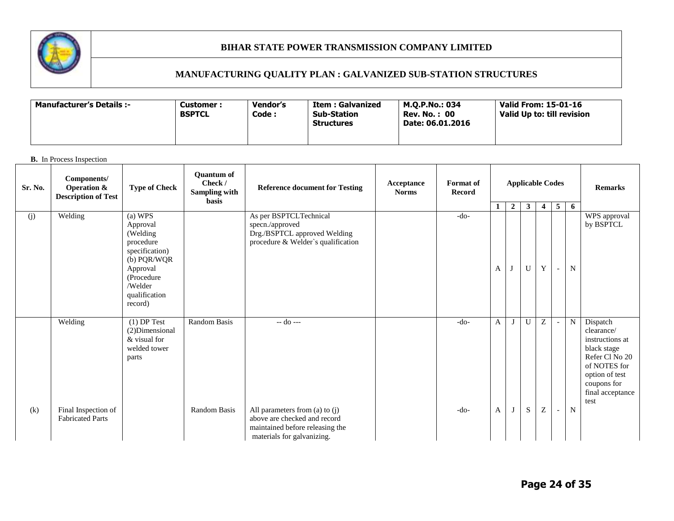

# **MANUFACTURING QUALITY PLAN : GALVANIZED SUB-STATION STRUCTURES**

| -: Manufacturer's Details | Vendor's<br>Customer :<br><b>BSPTCL</b><br>Code : | Item : Galvanized<br>Sub-Station<br><b>Structures</b> | M.O.P.No.: 034<br><b>Rev. No. : 00</b><br>Date: 06.01.2016 | Valid From: 15-01-16<br>Valid Up to: till revision |
|---------------------------|---------------------------------------------------|-------------------------------------------------------|------------------------------------------------------------|----------------------------------------------------|
|---------------------------|---------------------------------------------------|-------------------------------------------------------|------------------------------------------------------------|----------------------------------------------------|

| Sr. No. | Components/<br><b>Operation &amp;</b><br><b>Description of Test</b> | <b>Type of Check</b>                                                                                                                           | <b>Ouantum of</b><br>Check /<br>Sampling with<br><b>basis</b> | <b>Reference document for Testing</b>                                                                                                          | Acceptance<br><b>Norms</b> | Format of<br><b>Record</b> |        | <b>Applicable Codes</b> |                           |                         | <b>Remarks</b>                     |                          |                                                                                                                                                         |
|---------|---------------------------------------------------------------------|------------------------------------------------------------------------------------------------------------------------------------------------|---------------------------------------------------------------|------------------------------------------------------------------------------------------------------------------------------------------------|----------------------------|----------------------------|--------|-------------------------|---------------------------|-------------------------|------------------------------------|--------------------------|---------------------------------------------------------------------------------------------------------------------------------------------------------|
|         |                                                                     |                                                                                                                                                |                                                               |                                                                                                                                                |                            |                            | 1      | $\overline{2}$          | $\mathbf{3}$              | $\overline{\mathbf{4}}$ | 5 <sub>5</sub>                     | 6                        |                                                                                                                                                         |
| (j)     | Welding                                                             | (a) WPS<br>Approval<br>(Welding<br>procedure<br>specification)<br>(b) PQR/WQR<br>Approval<br>(Procedure<br>/Welder<br>qualification<br>record) |                                                               | As per BSPTCLTechnical<br>specn./approved<br>Drg./BSPTCL approved Welding<br>procedure & Welder's qualification                                |                            | $-do-$                     | A      | J                       | $\mathbf U$               | Y                       | $\sim$                             | $\mathbf N$              | WPS approval<br>by BSPTCL                                                                                                                               |
| (k)     | Welding<br>Final Inspection of<br><b>Fabricated Parts</b>           | $(1)$ DP Test<br>(2) Dimensional<br>& visual for<br>welded tower<br>parts                                                                      | <b>Random Basis</b><br>Random Basis                           | -- do ---<br>All parameters from (a) to $(j)$<br>above are checked and record<br>maintained before releasing the<br>materials for galvanizing. |                            | $-do-$<br>$-do-$           | A<br>A |                         | $\mathbf{U}$<br>${\bf S}$ | Z<br>${\bf Z}$          | $\overline{\phantom{a}}$<br>$\sim$ | $\mathbf N$<br>${\bf N}$ | Dispatch<br>clearance/<br>instructions at<br>black stage<br>Refer Cl No 20<br>of NOTES for<br>option of test<br>coupons for<br>final acceptance<br>test |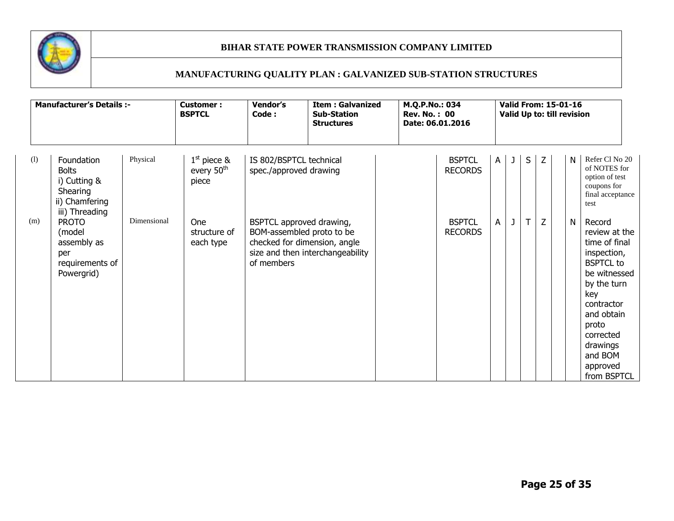

|     | <b>Manufacturer's Details :-</b>                                                           |             | <b>Customer:</b><br><b>BSPTCL</b>                | Vendor's<br>Code:                                 | <b>Item: Galvanized</b><br><b>Sub-Station</b><br><b>Structures</b>                            | M.Q.P.No.: 034<br><b>Rev. No.: 00</b><br>Date: 06.01.2016 |                |   |    | <b>Valid From: 15-01-16</b><br>Valid Up to: till revision |   |                                                                                                                                                                                                                       |
|-----|--------------------------------------------------------------------------------------------|-------------|--------------------------------------------------|---------------------------------------------------|-----------------------------------------------------------------------------------------------|-----------------------------------------------------------|----------------|---|----|-----------------------------------------------------------|---|-----------------------------------------------------------------------------------------------------------------------------------------------------------------------------------------------------------------------|
| (1) | Foundation<br><b>Bolts</b><br>i) Cutting &<br>Shearing<br>ii) Chamfering<br>iii) Threading | Physical    | $1st$ piece &<br>every 50 <sup>th</sup><br>piece | IS 802/BSPTCL technical<br>spec./approved drawing |                                                                                               | <b>BSPTCL</b><br><b>RECORDS</b>                           | $\mathsf{A}$   | J | S  | Z                                                         | N | Refer Cl No 20<br>of NOTES for<br>option of test<br>coupons for<br>final acceptance<br>test                                                                                                                           |
| (m) | <b>PROTO</b><br>(model<br>assembly as<br>per<br>requirements of<br>Powergrid)              | Dimensional | One<br>structure of<br>each type                 | BSPTCL approved drawing,<br>of members            | BOM-assembled proto to be<br>checked for dimension, angle<br>size and then interchangeability | <b>BSPTCL</b><br><b>RECORDS</b>                           | $\overline{A}$ | J | T. | Z                                                         | N | Record<br>review at the<br>time of final<br>inspection,<br><b>BSPTCL</b> to<br>be witnessed<br>by the turn<br>key<br>contractor<br>and obtain<br>proto<br>corrected<br>drawings<br>and BOM<br>approved<br>from BSPTCL |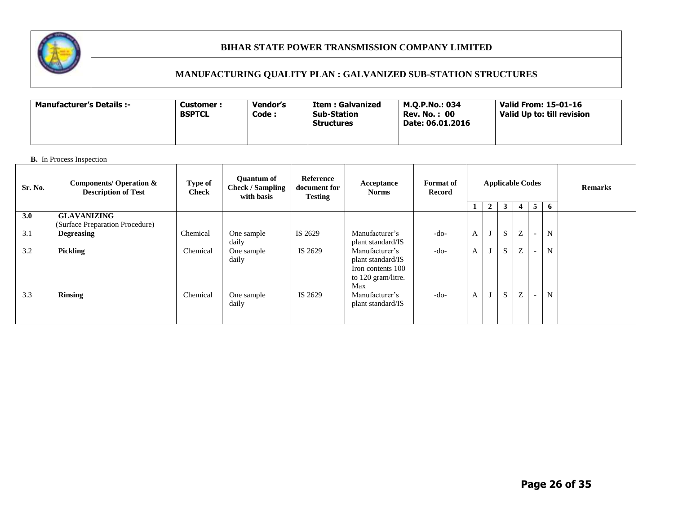

# **MANUFACTURING QUALITY PLAN : GALVANIZED SUB-STATION STRUCTURES**

| <b>Manufacturer's Details :-</b> | Customer :<br><b>BSPTCL</b> | Vendor's<br>Code : | Item : Galvanized<br><b>Sub-Station</b><br><b>Structures</b> | M.O.P.No.: 034<br><b>Rev. No.: 00</b><br>Date: 06.01.2016 | Valid From: 15-01-16<br>Valid Up to: till revision |
|----------------------------------|-----------------------------|--------------------|--------------------------------------------------------------|-----------------------------------------------------------|----------------------------------------------------|
|----------------------------------|-----------------------------|--------------------|--------------------------------------------------------------|-----------------------------------------------------------|----------------------------------------------------|

| Sr. No. | <b>Components/ Operation &amp;</b><br><b>Description of Test</b> | Type of<br><b>Check</b> | <b>Ouantum of</b><br><b>Check / Sampling</b><br>with basis | Reference<br>document for<br><b>Testing</b> | Acceptance<br><b>Norms</b>                                                            | <b>Format</b> of<br>Record | <b>Applicable Codes</b> |   |   |                   |                          | <b>Remarks</b> |  |
|---------|------------------------------------------------------------------|-------------------------|------------------------------------------------------------|---------------------------------------------|---------------------------------------------------------------------------------------|----------------------------|-------------------------|---|---|-------------------|--------------------------|----------------|--|
|         |                                                                  |                         |                                                            |                                             |                                                                                       |                            |                         | 2 | 3 | 4                 | 5 <sup>5</sup>           | 6              |  |
| 3.0     | <b>GLAVANIZING</b><br>(Surface Preparation Procedure)            |                         |                                                            |                                             |                                                                                       |                            |                         |   |   |                   |                          |                |  |
| 3.1     | <b>Degreasing</b>                                                | Chemical                | One sample<br>daily                                        | IS 2629                                     | Manufacturer's<br>plant standard/IS                                                   | $-do-$                     | A                       |   | S | Z                 | $\overline{\phantom{a}}$ | N              |  |
| 3.2     | <b>Pickling</b>                                                  | Chemical                | One sample<br>daily                                        | IS 2629                                     | Manufacturer's<br>plant standard/IS<br>Iron contents 100<br>to 120 gram/litre.<br>Max | $-do-$                     | A                       |   | S | $\mathbf{z}$<br>∠ | $\overline{\phantom{a}}$ | N              |  |
| 3.3     | <b>Rinsing</b>                                                   | Chemical                | One sample<br>daily                                        | IS 2629                                     | Manufacturer's<br>plant standard/IS                                                   | $-do-$                     | A                       |   | S | Z                 | $\overline{\phantom{0}}$ | N              |  |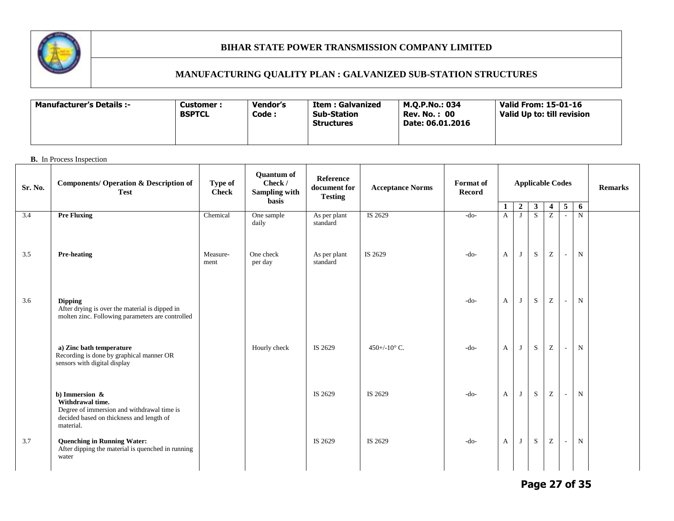

# **MANUFACTURING QUALITY PLAN : GALVANIZED SUB-STATION STRUCTURES**

| <b>Manufacturer's Details :-</b> | Customer :<br><b>BSPTCL</b> | Vendor's<br>Code : | Item : Galvanized<br><b>Sub-Station</b><br><b>Structures</b> | M.O.P.No.: 034<br><b>Rev. No.: 00</b><br>Date: 06.01.2016 | Valid From: 15-01-16<br>Valid Up to: till revision |
|----------------------------------|-----------------------------|--------------------|--------------------------------------------------------------|-----------------------------------------------------------|----------------------------------------------------|
|----------------------------------|-----------------------------|--------------------|--------------------------------------------------------------|-----------------------------------------------------------|----------------------------------------------------|

### **B.** In Process Inspection

| Sr. No. | <b>Components/ Operation &amp; Description of</b><br><b>Test</b>                                                                             | Type of<br><b>Check</b> | <b>Quantum of</b><br>Check /<br><b>Sampling with</b><br>basis | Reference<br>document for<br><b>Testing</b> | <b>Acceptance Norms</b>        | Format of<br><b>Record</b> | <b>Applicable Codes</b>      |                       |                                |                                                       |                             | <b>Remarks</b> |  |
|---------|----------------------------------------------------------------------------------------------------------------------------------------------|-------------------------|---------------------------------------------------------------|---------------------------------------------|--------------------------------|----------------------------|------------------------------|-----------------------|--------------------------------|-------------------------------------------------------|-----------------------------|----------------|--|
| 3.4     | <b>Pre Fluxing</b>                                                                                                                           | Chemical                | One sample                                                    | As per plant                                | IS 2629                        | $-do-$                     | $\mathbf{1}$<br>$\mathbf{A}$ | $\boldsymbol{2}$<br>J | $\mathbf{3}$<br>$\overline{S}$ | $\overline{\mathbf{4}}$<br>$\overline{z}$             | 5                           | 6<br>N         |  |
|         |                                                                                                                                              |                         | daily                                                         | standard                                    |                                |                            |                              |                       |                                |                                                       |                             |                |  |
| 3.5     | <b>Pre-heating</b>                                                                                                                           | Measure-<br>ment        | One check<br>per day                                          | As per plant<br>standard                    | IS 2629                        | $-do-$                     | $\mathbf{A}$                 | J                     | S                              | Z                                                     | $\sim$                      | $\mathbf N$    |  |
| 3.6     | <b>Dipping</b><br>After drying is over the material is dipped in<br>molten zinc. Following parameters are controlled                         |                         |                                                               |                                             |                                | $-do-$                     | $\mathbf{A}$                 | J                     | ${\bf S}$                      | $\mathbf{Z}% ^{T}=\mathbf{Z}^{T}\times\mathbf{Z}^{T}$ | $\overline{\phantom{a}}$    | ${\bf N}$      |  |
|         | a) Zinc bath temperature<br>Recording is done by graphical manner OR<br>sensors with digital display                                         |                         | Hourly check                                                  | IS 2629                                     | $450 + (-10^{\circ} \text{C})$ | $-do-$                     | $\mathbf{A}$                 | J                     | S                              | $\mathbf{Z}% ^{T}=\mathbf{Z}^{T}\times\mathbf{Z}^{T}$ | $\overline{\phantom{a}}$    | N              |  |
|         | b) Immersion $\&$<br>Withdrawal time.<br>Degree of immersion and withdrawal time is<br>decided based on thickness and length of<br>material. |                         |                                                               | IS 2629                                     | IS 2629                        | -do-                       | $\mathbf{A}$                 | J                     | ${\bf S}$                      | ${\bf Z}$                                             | $\mathcal{L}_{\mathcal{A}}$ | $\mathbf N$    |  |
| 3.7     | <b>Quenching in Running Water:</b><br>After dipping the material is quenched in running<br>water                                             |                         |                                                               | IS 2629                                     | IS 2629                        | $-do-$                     | $\mathbf{A}$                 | J                     | S                              | $\mathbf Z$                                           | $\overline{\phantom{a}}$    | $\mathbf N$    |  |

**Page 27 of 35**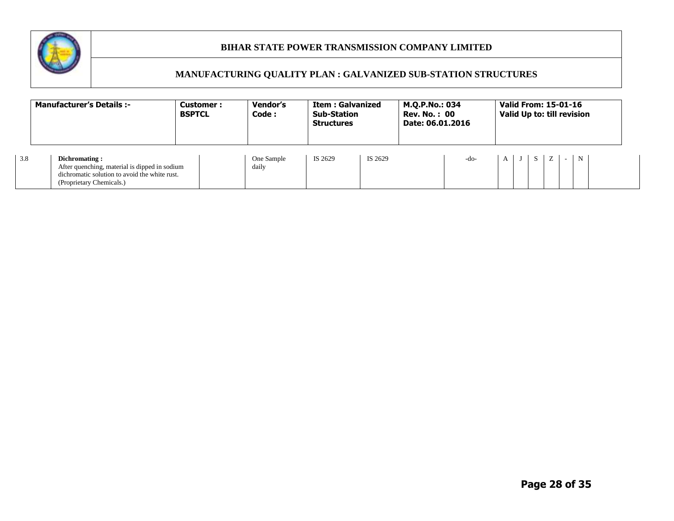

|     | <b>Manufacturer's Details:-</b>                                                                                                             | <b>Customer:</b><br><b>BSPTCL</b> | Vendor's<br>Code :  | <b>Item: Galvanized</b><br><b>Sub-Station</b><br><b>Structures</b> |         | M.Q.P.No.: 034<br><b>Rev. No.: 00</b><br>Date: 06.01.2016 |        |            | <b>Valid From: 15-01-16</b><br>Valid Up to: till revision |      |             |
|-----|---------------------------------------------------------------------------------------------------------------------------------------------|-----------------------------------|---------------------|--------------------------------------------------------------------|---------|-----------------------------------------------------------|--------|------------|-----------------------------------------------------------|------|-------------|
| 3.8 | Dichromating:<br>After quenching, material is dipped in sodium<br>dichromatic solution to avoid the white rust.<br>(Proprietary Chemicals.) |                                   | One Sample<br>daily | IS 2629                                                            | IS 2629 |                                                           | $-do-$ | $A \cup J$ | Z<br>S I                                                  | $-1$ | $\mathbf N$ |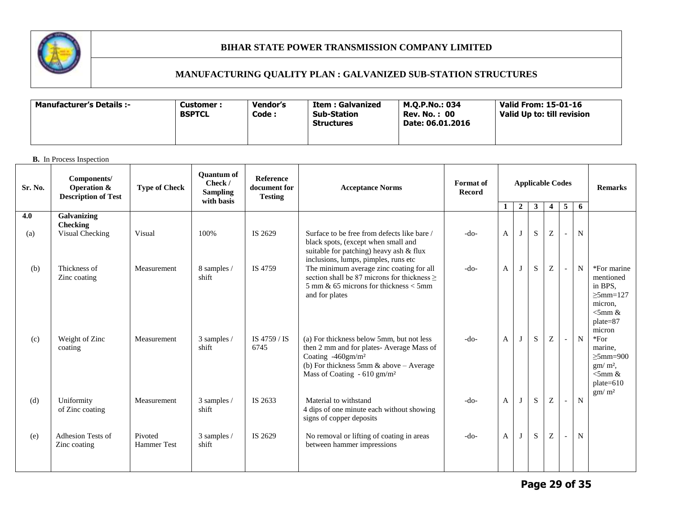

# **MANUFACTURING QUALITY PLAN : GALVANIZED SUB-STATION STRUCTURES**

| Manufacturer's Details :- | Customer :<br><b>BSPTCL</b> | <b>Vendor's</b><br>Code : | Item : Galvanized<br><b>Sub-Station</b><br><b>Structures</b> | M.O.P.No.: 034<br><b>Rev. No.: 00</b><br>Date: 06.01.2016 | Valid From: 15-01-16<br>Valid Up to: till revision |
|---------------------------|-----------------------------|---------------------------|--------------------------------------------------------------|-----------------------------------------------------------|----------------------------------------------------|
|---------------------------|-----------------------------|---------------------------|--------------------------------------------------------------|-----------------------------------------------------------|----------------------------------------------------|

| Sr. No. | Components/<br>Operation &<br><b>Description of Test</b> | <b>Type of Check</b>          | <b>Ouantum of</b><br>Check /<br><b>Sampling</b><br>with basis | <b>Reference</b><br>document for<br><b>Testing</b> | <b>Acceptance Norms</b>                                                                                                                                                                                          | <b>Format</b> of<br>Record |              | <b>Applicable Codes</b> |              | <b>Remarks</b>          |   |             |                                                                                                  |
|---------|----------------------------------------------------------|-------------------------------|---------------------------------------------------------------|----------------------------------------------------|------------------------------------------------------------------------------------------------------------------------------------------------------------------------------------------------------------------|----------------------------|--------------|-------------------------|--------------|-------------------------|---|-------------|--------------------------------------------------------------------------------------------------|
|         |                                                          |                               |                                                               |                                                    |                                                                                                                                                                                                                  |                            | -1           | $\overline{2}$          | $\mathbf{3}$ | $\overline{\mathbf{4}}$ | 5 | 6           |                                                                                                  |
| 4.0     | Galvanizing<br><b>Checking</b>                           |                               |                                                               |                                                    |                                                                                                                                                                                                                  |                            |              |                         |              |                         |   |             |                                                                                                  |
| (a)     | Visual Checking                                          | Visual                        | 100%                                                          | IS 2629                                            | Surface to be free from defects like bare /<br>black spots, (except when small and<br>suitable for patching) heavy ash & flux<br>inclusions, lumps, pimples, runs etc                                            | $-do-$                     | $\mathbf{A}$ | J                       | S            | Z                       |   | $\mathbf N$ |                                                                                                  |
| (b)     | Thickness of<br>Zinc coating                             | Measurement                   | 8 samples /<br>shift                                          | IS 4759                                            | The minimum average zinc coating for all<br>section shall be 87 microns for thickness $>$<br>$5 \text{ mm}$ & 65 microns for thickness $\lt$ 5mm<br>and for plates                                               | $-do-$                     | $\mathbf{A}$ | J                       | S            | Z                       |   | N           | *For marine<br>mentioned<br>in BPS,<br>$>5$ mm=127<br>micron.<br>$<$ 5mm &<br>plate=87<br>micron |
| (c)     | Weight of Zinc<br>coating                                | Measurement                   | 3 samples /<br>shift                                          | IS 4759 / IS<br>6745                               | (a) For thickness below 5mm, but not less<br>then 2 mm and for plates-Average Mass of<br>Coating -460gm/m <sup>2</sup><br>(b) For thickness 5mm $\&$ above - Average<br>Mass of Coating $-610$ gm/m <sup>2</sup> | $-do-$                     | $\mathbf{A}$ | J                       | S            | Z                       |   | N           | $*For$<br>marine.<br>$>5$ mm=900<br>$gm/m2$ ,<br>$<$ 5mm &<br>$plate=610$<br>gm/m <sup>2</sup>   |
| (d)     | Uniformity<br>of Zinc coating                            | Measurement                   | 3 samples /<br>shift                                          | IS 2633                                            | Material to withstand<br>4 dips of one minute each without showing<br>signs of copper deposits                                                                                                                   | $-do-$                     | $\mathbf{A}$ | J                       | ${\bf S}$    | Z                       |   | ${\bf N}$   |                                                                                                  |
| (e)     | Adhesion Tests of<br>Zinc coating                        | Pivoted<br><b>Hammer</b> Test | 3 samples /<br>shift                                          | IS 2629                                            | No removal or lifting of coating in areas<br>between hammer impressions                                                                                                                                          | $-do-$                     | $\mathbf{A}$ | J                       | S            | Z                       |   | N           |                                                                                                  |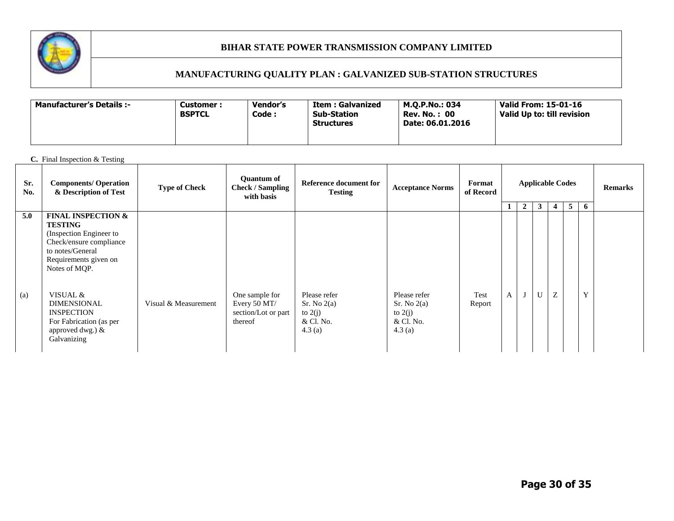

# **MANUFACTURING QUALITY PLAN : GALVANIZED SUB-STATION STRUCTURES**

| <b>Manufacturer's Details :-</b> | Customer :<br><b>BSPTCL</b> | Vendor's<br>Code : | Item : Galvanized<br><b>Sub-Station</b><br><b>Structures</b> | M.O.P.No.: 034<br><b>Rev. No.: 00</b><br>Date: 06.01.2016 | Valid From: 15-01-16<br>Valid Up to: till revision |
|----------------------------------|-----------------------------|--------------------|--------------------------------------------------------------|-----------------------------------------------------------|----------------------------------------------------|
|----------------------------------|-----------------------------|--------------------|--------------------------------------------------------------|-----------------------------------------------------------|----------------------------------------------------|

### **C.** Final Inspection & Testing

| Sr.<br>No. | <b>Components/ Operation</b><br>& Description of Test                                                                                                               | <b>Type of Check</b> | <b>Ouantum of</b><br><b>Check / Sampling</b><br>with basis       | <b>Acceptance Norms</b>                                         | Format<br>of Record                                             |                |   |                |              | <b>Applicable Codes</b> |   | <b>Remarks</b> |  |
|------------|---------------------------------------------------------------------------------------------------------------------------------------------------------------------|----------------------|------------------------------------------------------------------|-----------------------------------------------------------------|-----------------------------------------------------------------|----------------|---|----------------|--------------|-------------------------|---|----------------|--|
|            |                                                                                                                                                                     |                      |                                                                  |                                                                 |                                                                 |                |   | $\overline{2}$ | $\mathbf{3}$ | 4                       | 5 | 6              |  |
| 5.0        | <b>FINAL INSPECTION &amp;</b><br><b>TESTING</b><br>(Inspection Engineer to<br>Check/ensure compliance<br>to notes/General<br>Requirements given on<br>Notes of MQP. |                      |                                                                  |                                                                 |                                                                 |                |   |                |              |                         |   |                |  |
| (a)        | VISUAL &<br><b>DIMENSIONAL</b><br><b>INSPECTION</b><br>For Fabrication (as per<br>approved dwg.) &<br>Galvanizing                                                   | Visual & Measurement | One sample for<br>Every 50 MT/<br>section/Lot or part<br>thereof | Please refer<br>Sr. No 2(a)<br>to $2(j)$<br>& Cl. No.<br>4.3(a) | Please refer<br>Sr. No 2(a)<br>to $2(j)$<br>& Cl. No.<br>4.3(a) | Test<br>Report | A |                | $\mathbf U$  | Z                       |   | Y              |  |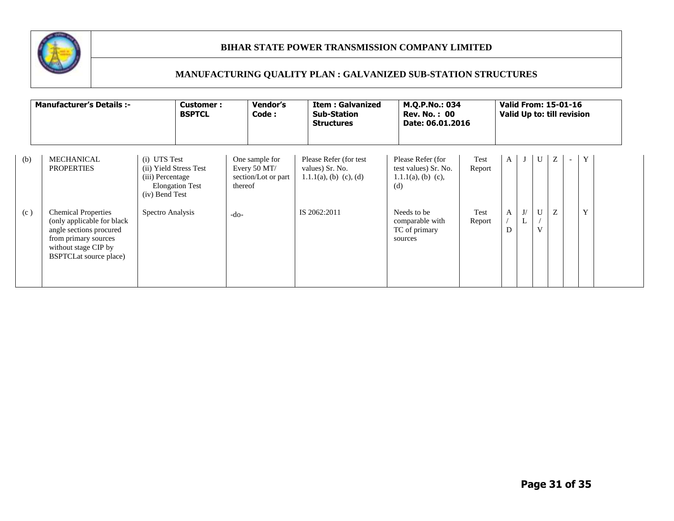

|     | <b>Manufacturer's Details :-</b>                                                                                                                                      | <b>Customer:</b><br><b>BSPTCL</b>                                                                      | <b>Vendor's</b><br>Code:                                         | <b>Item: Galvanized</b><br><b>Sub-Station</b><br><b>Structures</b>      |                                                                           | M.Q.P.No.: 034<br><b>Rev. No.: 00</b><br>Date: 06.01.2016 |              |         |                   | <b>Valid From: 15-01-16</b><br>Valid Up to: till revision |                          |   |  |
|-----|-----------------------------------------------------------------------------------------------------------------------------------------------------------------------|--------------------------------------------------------------------------------------------------------|------------------------------------------------------------------|-------------------------------------------------------------------------|---------------------------------------------------------------------------|-----------------------------------------------------------|--------------|---------|-------------------|-----------------------------------------------------------|--------------------------|---|--|
| (b) | <b>MECHANICAL</b><br><b>PROPERTIES</b>                                                                                                                                | (i) UTS Test<br>(ii) Yield Stress Test<br>(iii) Percentage<br><b>Elongation Test</b><br>(iv) Bend Test | One sample for<br>Every 50 MT/<br>section/Lot or part<br>thereof | Please Refer (for test)<br>values) Sr. No.<br>$1.1.1(a)$ , (b) (c), (d) | Please Refer (for<br>test values) Sr. No.<br>$1.1.1(a)$ , (b) (c),<br>(d) | Test<br>Report                                            | $\mathbf{A}$ |         | U                 | Ζ                                                         | $\overline{\phantom{a}}$ | Y |  |
| (c) | <b>Chemical Properties</b><br>(only applicable for black<br>angle sections procured<br>from primary sources<br>without stage CIP by<br><b>BSPTCLat source place</b> ) | Spectro Analysis                                                                                       | -do-                                                             | IS 2062:2011                                                            | Needs to be<br>comparable with<br>TC of primary<br>sources                | Test<br>Report                                            | A<br>D       | J/<br>L | U<br>$\mathbf{V}$ | Z                                                         |                          | Y |  |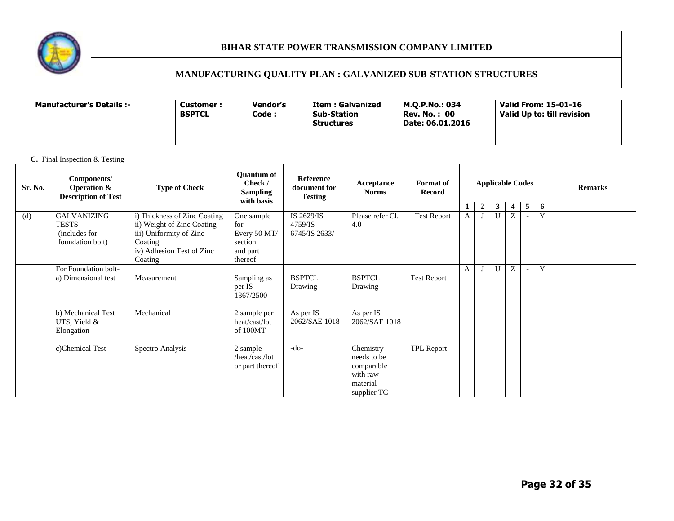

# **MANUFACTURING QUALITY PLAN : GALVANIZED SUB-STATION STRUCTURES**

| <b>Manufacturer's Details :-</b><br><b>Customer :</b><br><b>BSPTCL</b> | Vendor's<br>Code : | Item : Galvanized<br><b>Sub-Station</b><br><b>Structures</b> | M.O.P.No.: 034<br><b>Rev. No.: 00</b><br>Date: 06.01.2016 | Valid From: 15-01-16<br>Valid Up to: till revision |
|------------------------------------------------------------------------|--------------------|--------------------------------------------------------------|-----------------------------------------------------------|----------------------------------------------------|
|------------------------------------------------------------------------|--------------------|--------------------------------------------------------------|-----------------------------------------------------------|----------------------------------------------------|

### **C.** Final Inspection & Testing

| Sr. No. | Components/<br><b>Operation &amp;</b><br><b>Description of Test</b>     | <b>Type of Check</b>                                                                                                                     | <b>Ouantum of</b><br>Check /<br><b>Sampling</b><br>with basis       | Reference<br>document for<br><b>Testing</b> | Acceptance<br><b>Norms</b>                                                    | <b>Format</b> of<br>Record | <b>Applicable Codes</b> |  |              |   |                          |   | 5<br>$\overline{2}$<br>$\mathbf{3}$<br>4 |  |  |  |  |  |  |  |  |  |  |  |  |  |  |  |  |  |  |  |  |  |  |  |  |  |  |  |  |  | <b>Remarks</b> |
|---------|-------------------------------------------------------------------------|------------------------------------------------------------------------------------------------------------------------------------------|---------------------------------------------------------------------|---------------------------------------------|-------------------------------------------------------------------------------|----------------------------|-------------------------|--|--------------|---|--------------------------|---|------------------------------------------|--|--|--|--|--|--|--|--|--|--|--|--|--|--|--|--|--|--|--|--|--|--|--|--|--|--|--|--|--|----------------|
|         |                                                                         |                                                                                                                                          |                                                                     |                                             |                                                                               |                            |                         |  |              |   |                          | 6 |                                          |  |  |  |  |  |  |  |  |  |  |  |  |  |  |  |  |  |  |  |  |  |  |  |  |  |  |  |  |  |                |
| (d)     | <b>GALVANIZING</b><br><b>TESTS</b><br>(includes for<br>foundation bolt) | i) Thickness of Zinc Coating<br>ii) Weight of Zinc Coating<br>iii) Uniformity of Zinc<br>Coating<br>iv) Adhesion Test of Zinc<br>Coating | One sample<br>for<br>Every 50 MT/<br>section<br>and part<br>thereof | IS 2629/IS<br>4759/IS<br>6745/IS 2633/      | Please refer Cl.<br>4.0                                                       | Test Report                | A                       |  | U            | Z |                          | Y |                                          |  |  |  |  |  |  |  |  |  |  |  |  |  |  |  |  |  |  |  |  |  |  |  |  |  |  |  |  |  |                |
|         | For Foundation bolt-<br>a) Dimensional test                             | Measurement                                                                                                                              | Sampling as<br>per IS<br>1367/2500                                  | <b>BSPTCL</b><br>Drawing                    | <b>BSPTCL</b><br>Drawing                                                      | <b>Test Report</b>         | A                       |  | $\mathbf{U}$ |   | $\overline{\phantom{a}}$ | Y |                                          |  |  |  |  |  |  |  |  |  |  |  |  |  |  |  |  |  |  |  |  |  |  |  |  |  |  |  |  |  |                |
|         | b) Mechanical Test<br>UTS, Yield &<br>Elongation                        | Mechanical                                                                                                                               | 2 sample per<br>heat/cast/lot<br>of 100MT                           | As per IS<br>2062/SAE 1018                  | As per IS<br>2062/SAE 1018                                                    |                            |                         |  |              |   |                          |   |                                          |  |  |  |  |  |  |  |  |  |  |  |  |  |  |  |  |  |  |  |  |  |  |  |  |  |  |  |  |  |                |
|         | c)Chemical Test                                                         | Spectro Analysis                                                                                                                         | 2 sample<br>/heat/cast/lot<br>or part thereof                       | $-do-$                                      | Chemistry<br>needs to be<br>comparable<br>with raw<br>material<br>supplier TC | <b>TPL Report</b>          |                         |  |              |   |                          |   |                                          |  |  |  |  |  |  |  |  |  |  |  |  |  |  |  |  |  |  |  |  |  |  |  |  |  |  |  |  |  |                |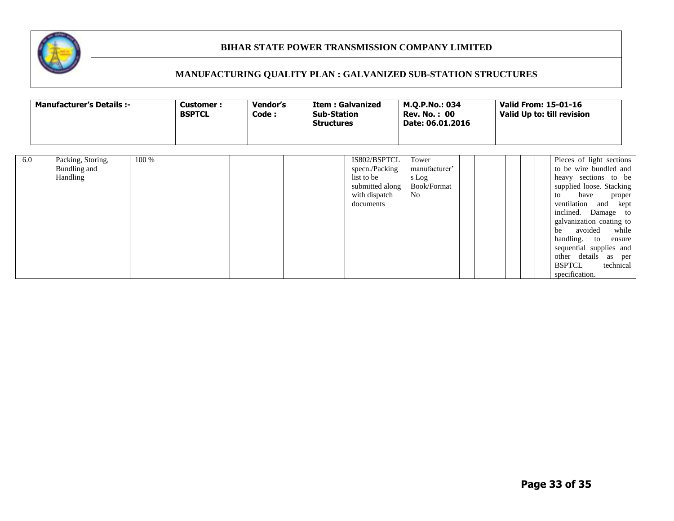

|     | <b>Manufacturer's Details :-</b>              |       | <b>Customer:</b><br><b>BSPTCL</b> | Vendor's<br>Code: | <b>Sub-Station</b><br><b>Structures</b> | <b>Item: Galvanized</b>                                                                       | M.Q.P.No.: 034<br><b>Rev. No.: 00</b><br>Date: 06.01.2016 |  | <b>Valid From: 15-01-16</b><br>Valid Up to: till revision                                                                                                                                                                                                                                                                                                        |
|-----|-----------------------------------------------|-------|-----------------------------------|-------------------|-----------------------------------------|-----------------------------------------------------------------------------------------------|-----------------------------------------------------------|--|------------------------------------------------------------------------------------------------------------------------------------------------------------------------------------------------------------------------------------------------------------------------------------------------------------------------------------------------------------------|
| 6.0 | Packing, Storing,<br>Bundling and<br>Handling | 100 % |                                   |                   |                                         | IS802/BSPTCL<br>specn./Packing<br>list to be<br>submitted along<br>with dispatch<br>documents | Tower<br>manufacturer'<br>s Log<br>Book/Format<br>No      |  | Pieces of light sections<br>to be wire bundled and<br>heavy sections to be<br>supplied loose. Stacking<br>have<br>to<br>proper<br>ventilation and kept<br>inclined. Damage to<br>galvanization coating to<br>avoided<br>while<br>be<br>handling. to<br>ensure<br>sequential supplies and<br>other details as per<br><b>BSPTCL</b><br>technical<br>specification. |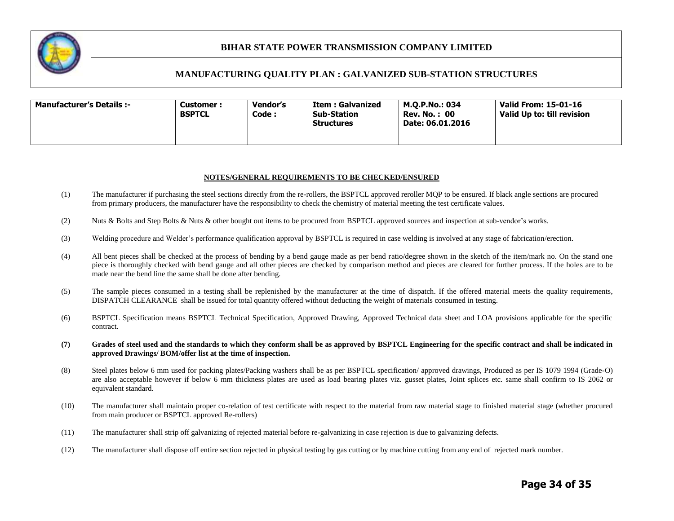

### **MANUFACTURING QUALITY PLAN : GALVANIZED SUB-STATION STRUCTURES**

| <b>Manufacturer's Details :-</b><br>Customer :<br><b>BSPTCL</b> | Vendor's<br>Code : | Item : Galvanized<br><b>Sub-Station</b><br>Structures | M.O.P.No.: 034<br><b>Rev. No.: 00</b><br>Date: 06.01.2016 | Valid From: 15-01-16<br>Valid Up to: till revision |
|-----------------------------------------------------------------|--------------------|-------------------------------------------------------|-----------------------------------------------------------|----------------------------------------------------|
|-----------------------------------------------------------------|--------------------|-------------------------------------------------------|-----------------------------------------------------------|----------------------------------------------------|

#### **NOTES/GENERAL REQUIREMENTS TO BE CHECKED/ENSURED**

- (1) The manufacturer if purchasing the steel sections directly from the re-rollers, the BSPTCL approved reroller MQP to be ensured. If black angle sections are procured from primary producers, the manufacturer have the responsibility to check the chemistry of material meeting the test certificate values.
- (2) Nuts & Bolts and Step Bolts & Nuts & other bought out items to be procured from BSPTCL approved sources and inspection at sub-vendor's works.
- (3) Welding procedure and Welder's performance qualification approval by BSPTCL is required in case welding is involved at any stage of fabrication/erection.
- (4) All bent pieces shall be checked at the process of bending by a bend gauge made as per bend ratio/degree shown in the sketch of the item/mark no. On the stand one piece is thoroughly checked with bend gauge and all other pieces are checked by comparison method and pieces are cleared for further process. If the holes are to be made near the bend line the same shall be done after bending.
- (5) The sample pieces consumed in a testing shall be replenished by the manufacturer at the time of dispatch. If the offered material meets the quality requirements, DISPATCH CLEARANCE shall be issued for total quantity offered without deducting the weight of materials consumed in testing.
- (6) BSPTCL Specification means BSPTCL Technical Specification, Approved Drawing, Approved Technical data sheet and LOA provisions applicable for the specific contract.
- **(7) Grades of steel used and the standards to which they conform shall be as approved by BSPTCL Engineering for the specific contract and shall be indicated in approved Drawings/ BOM/offer list at the time of inspection.**
- (8) Steel plates below 6 mm used for packing plates/Packing washers shall be as per BSPTCL specification/ approved drawings, Produced as per IS 1079 1994 (Grade-O) are also acceptable however if below 6 mm thickness plates are used as load bearing plates viz. gusset plates, Joint splices etc. same shall confirm to IS 2062 or equivalent standard.
- (10) The manufacturer shall maintain proper co-relation of test certificate with respect to the material from raw material stage to finished material stage (whether procured from main producer or BSPTCL approved Re-rollers)
- (11) The manufacturer shall strip off galvanizing of rejected material before re-galvanizing in case rejection is due to galvanizing defects.
- (12) The manufacturer shall dispose off entire section rejected in physical testing by gas cutting or by machine cutting from any end of rejected mark number.